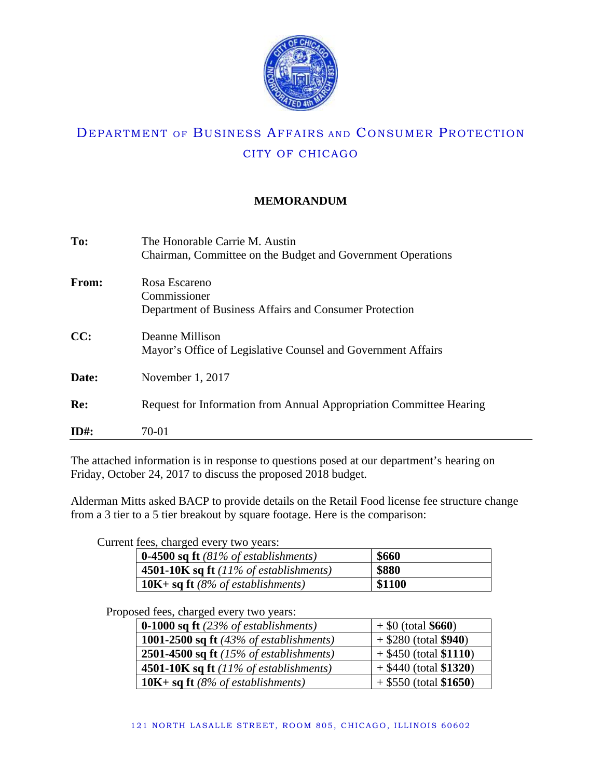

## **MEMORANDUM**

| To:     | The Honorable Carrie M. Austin                                      |
|---------|---------------------------------------------------------------------|
|         | Chairman, Committee on the Budget and Government Operations         |
| From:   | Rosa Escareno                                                       |
|         | Commissioner                                                        |
|         | Department of Business Affairs and Consumer Protection              |
| CC:     | Deanne Millison                                                     |
|         | Mayor's Office of Legislative Counsel and Government Affairs        |
| Date:   | November 1, 2017                                                    |
| Re:     |                                                                     |
|         | Request for Information from Annual Appropriation Committee Hearing |
| $ID#$ : | 70-01                                                               |

The attached information is in response to questions posed at our department's hearing on Friday, October 24, 2017 to discuss the proposed 2018 budget.

Alderman Mitts asked BACP to provide details on the Retail Food license fee structure change from a 3 tier to a 5 tier breakout by square footage. Here is the comparison:

Current fees, charged every two years:

| <b>0-4500 sq ft</b> $(81\% \text{ of establishes})$   | \$660  |
|-------------------------------------------------------|--------|
| <b>4501-10K sq ft</b> $(11\% \text{ of establishes})$ | \$880  |
| <b>10K+ sq ft</b> (8% of establishments)              | \$1100 |

Proposed fees, charged every two years:

| <b>0-1000 sq ft</b> $(23\% \text{ of establishes})$ | $+$ \$0 (total \$660)    |
|-----------------------------------------------------|--------------------------|
| 1001-2500 sq ft $(43\%$ of establishments)          | $+$ \$280 (total \$940)  |
| 2501-4500 sq ft $(15\% \text{ of establishes})$     | $+$ \$450 (total \$1110) |
| 4501-10K sq ft $(11\%$ of establishments)           | $+$ \$440 (total \$1320) |
| 10K + sq ft $(8\% \text{ of establishes})$          | $+$ \$550 (total \$1650) |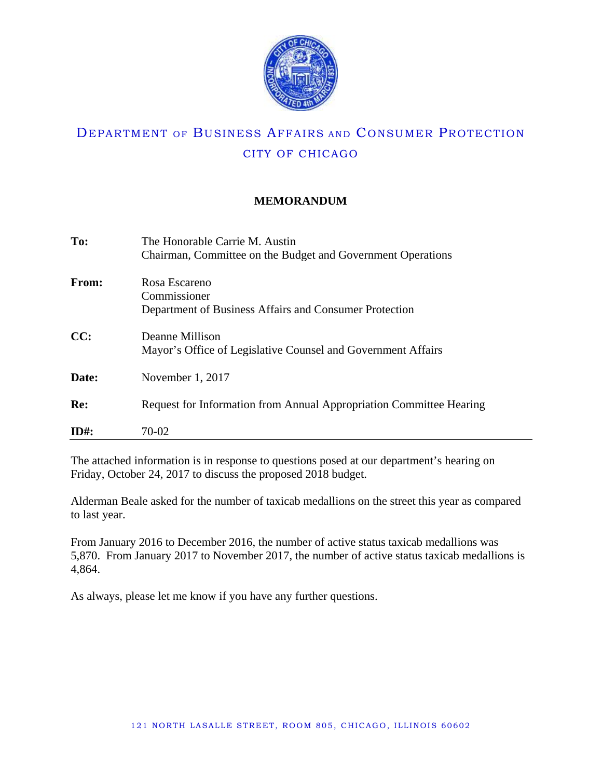

## **MEMORANDUM**

| To:          | The Honorable Carrie M. Austin                                      |
|--------------|---------------------------------------------------------------------|
|              | Chairman, Committee on the Budget and Government Operations         |
| <b>From:</b> | Rosa Escareno                                                       |
|              | Commissioner                                                        |
|              | Department of Business Affairs and Consumer Protection              |
| CC:          | Deanne Millison                                                     |
|              | Mayor's Office of Legislative Counsel and Government Affairs        |
| Date:        | November 1, 2017                                                    |
| Re:          |                                                                     |
|              | Request for Information from Annual Appropriation Committee Hearing |
| $ID#$ :      | 70-02                                                               |

The attached information is in response to questions posed at our department's hearing on Friday, October 24, 2017 to discuss the proposed 2018 budget.

Alderman Beale asked for the number of taxicab medallions on the street this year as compared to last year.

From January 2016 to December 2016, the number of active status taxicab medallions was 5,870. From January 2017 to November 2017, the number of active status taxicab medallions is 4,864.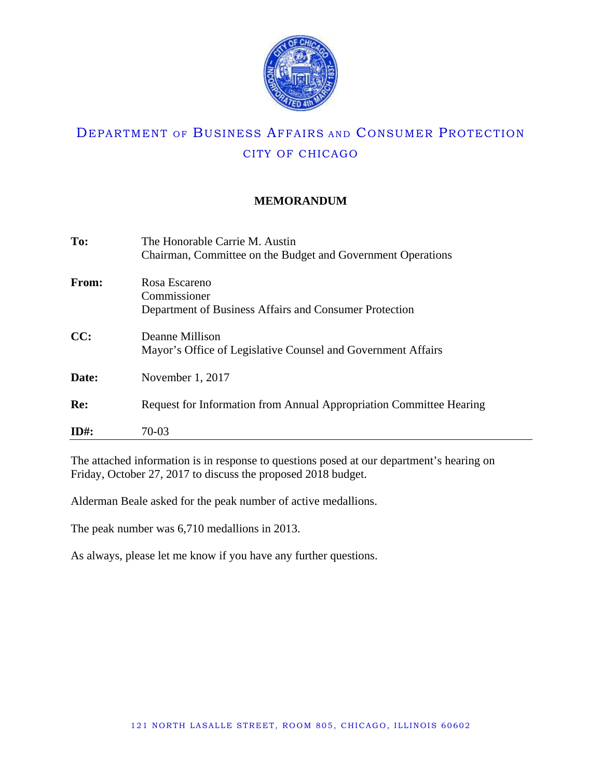

## **MEMORANDUM**

| To:     | The Honorable Carrie M. Austin<br>Chairman, Committee on the Budget and Government Operations |
|---------|-----------------------------------------------------------------------------------------------|
| From:   | Rosa Escareno<br>Commissioner<br>Department of Business Affairs and Consumer Protection       |
| CC:     | Deanne Millison<br>Mayor's Office of Legislative Counsel and Government Affairs               |
| Date:   | November 1, 2017                                                                              |
| Re:     | Request for Information from Annual Appropriation Committee Hearing                           |
| $ID#$ : | 70-03                                                                                         |

The attached information is in response to questions posed at our department's hearing on Friday, October 27, 2017 to discuss the proposed 2018 budget.

Alderman Beale asked for the peak number of active medallions.

The peak number was 6,710 medallions in 2013.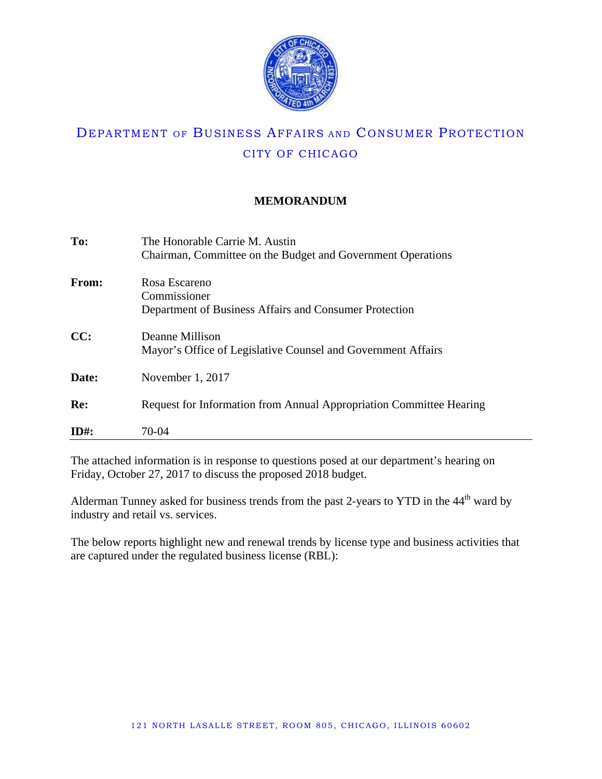

## **MEMORANDUM**

| To:          | The Honorable Carrie M. Austin<br>Chairman, Committee on the Budget and Government Operations |
|--------------|-----------------------------------------------------------------------------------------------|
| <b>From:</b> | Rosa Escareno<br>Commissioner<br>Department of Business Affairs and Consumer Protection       |
| CC:          | Deanne Millison<br>Mayor's Office of Legislative Counsel and Government Affairs               |
| Date:        | November 1, 2017                                                                              |
| Re:          | Request for Information from Annual Appropriation Committee Hearing                           |
| $ID#$ :      | 70-04                                                                                         |

The attached information is in response to questions posed at our department's hearing on Friday, October 27, 2017 to discuss the proposed 2018 budget.

Alderman Tunney asked for business trends from the past 2-years to YTD in the 44<sup>th</sup> ward by industry and retail vs. services.

The below reports highlight new and renewal trends by license type and business activities that are captured under the regulated business license (RBL):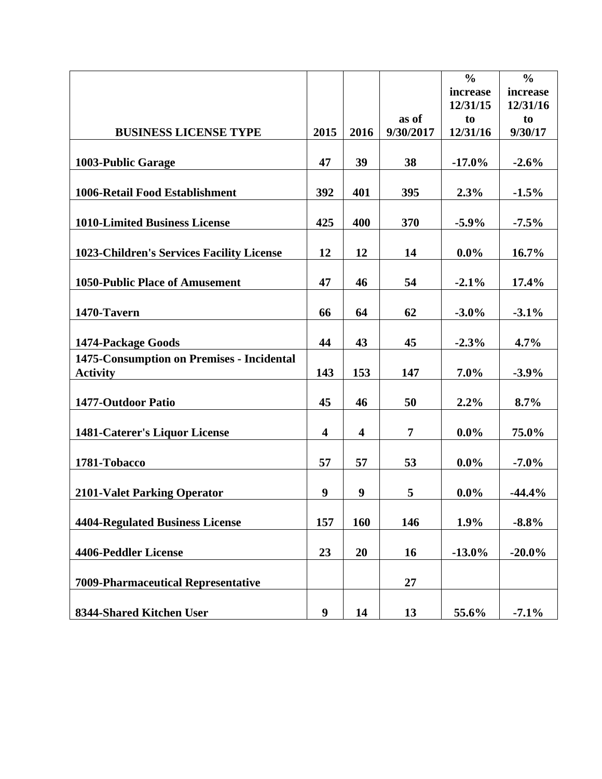|                                           |                         |                         |                | $\frac{0}{0}$ | $\frac{0}{0}$ |
|-------------------------------------------|-------------------------|-------------------------|----------------|---------------|---------------|
|                                           |                         |                         |                | increase      | increase      |
|                                           |                         |                         |                | 12/31/15      | 12/31/16      |
|                                           |                         |                         | as of          | to            | to            |
| <b>BUSINESS LICENSE TYPE</b>              | 2015                    | 2016                    | 9/30/2017      | 12/31/16      | 9/30/17       |
|                                           |                         |                         |                |               |               |
| 1003-Public Garage                        | 47                      | 39                      | 38             | $-17.0%$      | $-2.6%$       |
|                                           |                         |                         |                |               |               |
| 1006-Retail Food Establishment            | 392                     | 401                     | 395            | 2.3%          | $-1.5%$       |
|                                           |                         |                         |                |               |               |
| <b>1010-Limited Business License</b>      | 425                     | 400                     | 370            | $-5.9\%$      | $-7.5\%$      |
|                                           |                         |                         |                |               |               |
| 1023-Children's Services Facility License | 12                      | 12                      | 14             | $0.0\%$       | 16.7%         |
|                                           |                         |                         |                |               |               |
| 1050-Public Place of Amusement            | 47                      | 46                      | 54             | $-2.1%$       | 17.4%         |
|                                           |                         |                         |                |               |               |
|                                           | 66                      | 64                      |                | $-3.0\%$      |               |
| 1470-Tavern                               |                         |                         | 62             |               | $-3.1%$       |
|                                           |                         |                         |                |               |               |
| 1474-Package Goods                        | 44                      | 43                      | 45             | $-2.3%$       | $4.7\%$       |
| 1475-Consumption on Premises - Incidental |                         |                         |                |               |               |
| <b>Activity</b>                           | 143                     | 153                     | 147            | 7.0%          | $-3.9%$       |
|                                           |                         |                         |                |               |               |
| 1477-Outdoor Patio                        | 45                      | 46                      | 50             | 2.2%          | 8.7%          |
|                                           |                         |                         |                |               |               |
| 1481-Caterer's Liquor License             | $\overline{\mathbf{4}}$ | $\overline{\mathbf{4}}$ | $\overline{7}$ | $0.0\%$       | 75.0%         |
|                                           |                         |                         |                |               |               |
| 1781-Tobacco                              | 57                      | 57                      | 53             | $0.0\%$       | $-7.0\%$      |
|                                           |                         |                         |                |               |               |
| <b>2101-Valet Parking Operator</b>        | 9                       | 9                       | 5              | $0.0\%$       | $-44.4%$      |
|                                           |                         |                         |                |               |               |
| <b>4404-Regulated Business License</b>    | 157                     | 160                     | 146            | 1.9%          | $-8.8%$       |
|                                           |                         |                         |                |               |               |
| 4406-Peddler License                      | 23                      | 20                      | 16             | $-13.0\%$     | $-20.0\%$     |
|                                           |                         |                         |                |               |               |
| 7009-Pharmaceutical Representative        |                         |                         | 27             |               |               |
|                                           |                         |                         |                |               |               |
| 8344-Shared Kitchen User                  | 9                       | 14                      | 13             | 55.6%         | $-7.1\%$      |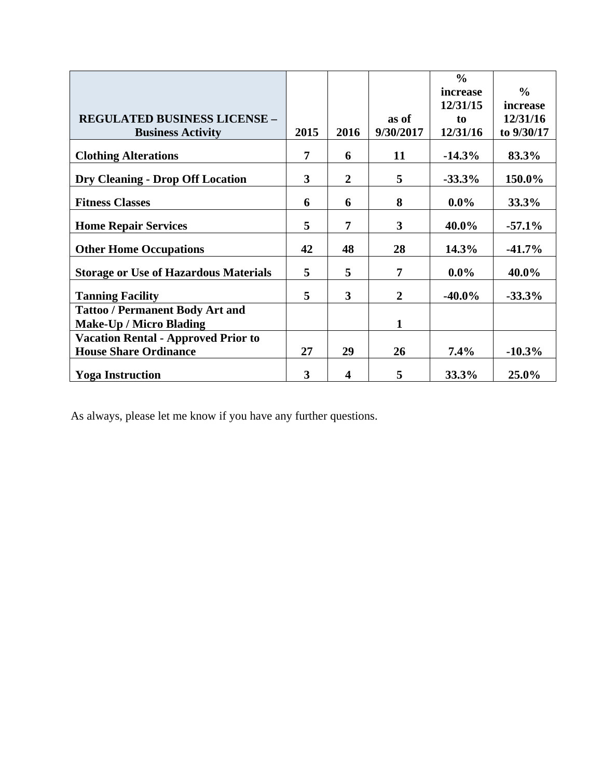|                                              |      |                |                | $\frac{0}{0}$ |               |
|----------------------------------------------|------|----------------|----------------|---------------|---------------|
|                                              |      |                |                | increase      | $\frac{0}{0}$ |
|                                              |      |                |                | 12/31/15      | increase      |
| <b>REGULATED BUSINESS LICENSE -</b>          |      |                | as of          | to            | 12/31/16      |
| <b>Business Activity</b>                     | 2015 | 2016           | 9/30/2017      | 12/31/16      | to 9/30/17    |
| <b>Clothing Alterations</b>                  | 7    | 6              | 11             | $-14.3%$      | 83.3%         |
| <b>Dry Cleaning - Drop Off Location</b>      | 3    | $\overline{2}$ | 5              | $-33.3%$      | 150.0%        |
| <b>Fitness Classes</b>                       | 6    | 6              | 8              | $0.0\%$       | 33.3%         |
| <b>Home Repair Services</b>                  | 5    | 7              | 3              | 40.0%         | $-57.1\%$     |
| <b>Other Home Occupations</b>                | 42   | 48             | 28             | 14.3%         | $-41.7%$      |
| <b>Storage or Use of Hazardous Materials</b> | 5    | 5              | 7              | $0.0\%$       | 40.0%         |
| <b>Tanning Facility</b>                      | 5    | 3              | $\overline{2}$ | $-40.0\%$     | $-33.3%$      |
| <b>Tattoo / Permanent Body Art and</b>       |      |                |                |               |               |
| <b>Make-Up / Micro Blading</b>               |      |                | $\mathbf{1}$   |               |               |
| <b>Vacation Rental - Approved Prior to</b>   |      |                |                |               |               |
| <b>House Share Ordinance</b>                 | 27   | 29             | 26             | $7.4\%$       | $-10.3%$      |
| <b>Yoga Instruction</b>                      | 3    | 4              | 5              | 33.3%         | 25.0%         |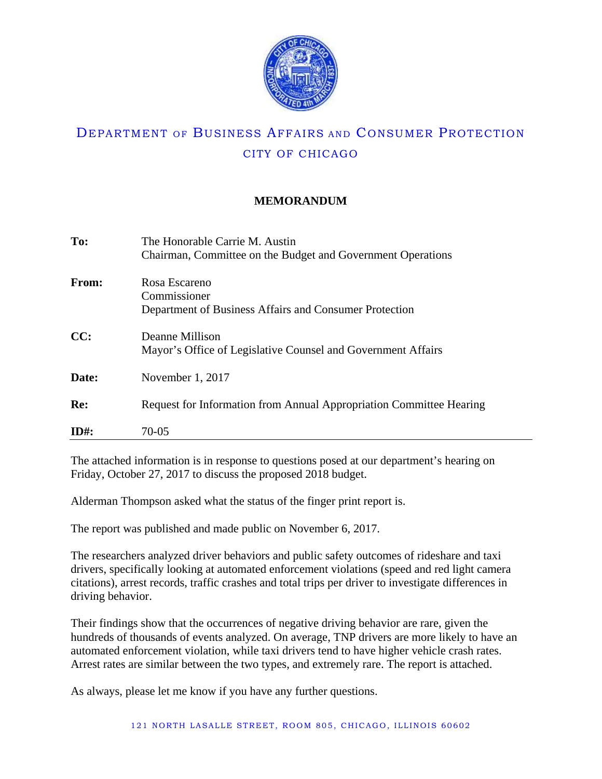

## **MEMORANDUM**

| To:          | The Honorable Carrie M. Austin<br>Chairman, Committee on the Budget and Government Operations |
|--------------|-----------------------------------------------------------------------------------------------|
| <b>From:</b> | Rosa Escareno<br>Commissioner<br>Department of Business Affairs and Consumer Protection       |
| CC:          | Deanne Millison<br>Mayor's Office of Legislative Counsel and Government Affairs               |
| Date:        | November 1, 2017                                                                              |
| Re:          | Request for Information from Annual Appropriation Committee Hearing                           |
| $ID#$ :      | 70-05                                                                                         |

The attached information is in response to questions posed at our department's hearing on Friday, October 27, 2017 to discuss the proposed 2018 budget.

Alderman Thompson asked what the status of the finger print report is.

The report was published and made public on November 6, 2017.

The researchers analyzed driver behaviors and public safety outcomes of rideshare and taxi drivers, specifically looking at automated enforcement violations (speed and red light camera citations), arrest records, traffic crashes and total trips per driver to investigate differences in driving behavior.

Their findings show that the occurrences of negative driving behavior are rare, given the hundreds of thousands of events analyzed. On average, TNP drivers are more likely to have an automated enforcement violation, while taxi drivers tend to have higher vehicle crash rates. Arrest rates are similar between the two types, and extremely rare. The report is attached.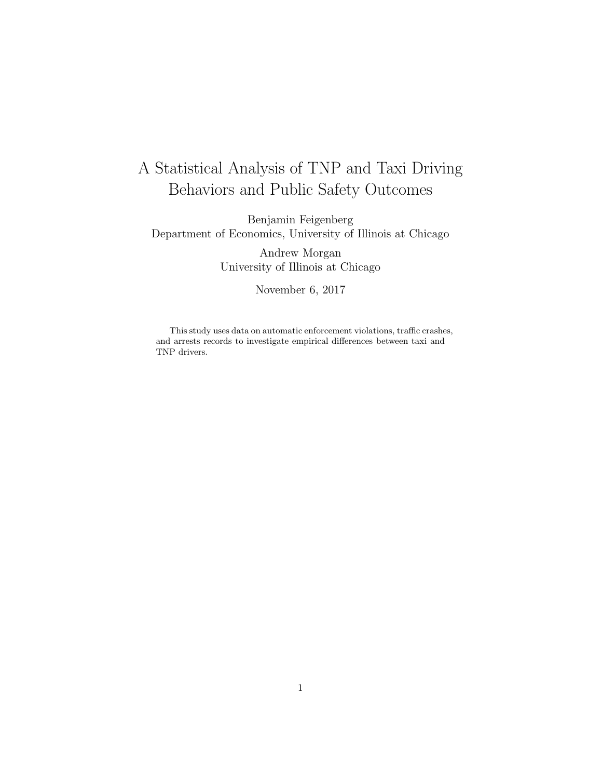# A Statistical Analysis of TNP and Taxi Driving Behaviors and Public Safety Outcomes

Benjamin Feigenberg Department of Economics, University of Illinois at Chicago

> Andrew Morgan University of Illinois at Chicago

> > November 6, 2017

This study uses data on automatic enforcement violations, traffic crashes, and arrests records to investigate empirical differences between taxi and TNP drivers.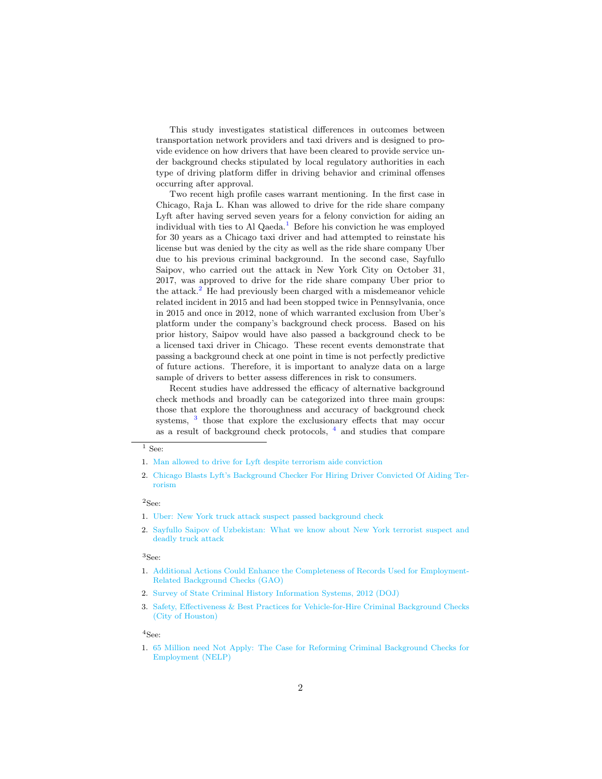This study investigates statistical differences in outcomes between transportation network providers and taxi drivers and is designed to provide evidence on how drivers that have been cleared to provide service under background checks stipulated by local regulatory authorities in each type of driving platform differ in driving behavior and criminal offenses occurring after approval.

Two recent high profile cases warrant mentioning. In the first case in Chicago, Raja L. Khan was allowed to drive for the ride share company Lyft after having served seven years for a felony conviction for aiding an individual with ties to Al Qaeda.<sup>[1](#page-8-0)</sup> Before his conviction he was employed for 30 years as a Chicago taxi driver and had attempted to reinstate his license but was denied by the city as well as the ride share company Uber due to his previous criminal background. In the second case, Sayfullo Saipov, who carried out the attack in New York City on October 31, 2017, was approved to drive for the ride share company Uber prior to the attack.<sup>[2](#page-8-1)</sup> He had previously been charged with a misdemeanor vehicle related incident in 2015 and had been stopped twice in Pennsylvania, once in 2015 and once in 2012, none of which warranted exclusion from Uber's platform under the company's background check process. Based on his prior history, Saipov would have also passed a background check to be a licensed taxi driver in Chicago. These recent events demonstrate that passing a background check at one point in time is not perfectly predictive of future actions. Therefore, it is important to analyze data on a large sample of drivers to better assess differences in risk to consumers.

Recent studies have addressed the efficacy of alternative background check methods and broadly can be categorized into three main groups: those that explore the thoroughness and accuracy of background check systems, <sup>[3](#page-8-2)</sup> those that explore the exclusionary effects that may occur as a result of background check protocols,  $\frac{4}{1}$  $\frac{4}{1}$  $\frac{4}{1}$  and studies that compare

### <span id="page-8-1"></span> $^2$  See:

#### <span id="page-8-2"></span><sup>3</sup>See:

#### <span id="page-8-3"></span><sup>4</sup>See:

1. [65 Million need Not Apply: The Case for Reforming Criminal Background Checks for](http://www.nelp.org/content/uploads/2015/03/65_Million_Need_Not_Apply.pdf) [Employment \(NELP\)](http://www.nelp.org/content/uploads/2015/03/65_Million_Need_Not_Apply.pdf)

<span id="page-8-0"></span> $\overline{1}$  See:

<sup>1.</sup> [Man allowed to drive for Lyft despite terrorism aide conviction](http://wgntv.com/2017/10/25/man-allowed-to-drive-for-lyft-despite-terrorism-aide-conviction/)

<sup>2.</sup> [Chicago Blasts Lyft's Background Checker For Hiring Driver Convicted Of Aiding Ter](http://chicagoist.com/2017/10/27/chicago_blasts_lyft_for_hiring_driv.php)[rorism](http://chicagoist.com/2017/10/27/chicago_blasts_lyft_for_hiring_driv.php)

<sup>1.</sup> [Uber: New York truck attack suspect passed background check](http://money.cnn.com/2017/11/01/technology/uber-new-york-attack-driver-background-check/index.html)

<sup>2.</sup> [Sayfullo Saipov of Uzbekistan: What we know about New York terrorist suspect and](http://www.nj.com/news/index.ssf/2017/10/sayfullo_saipov_new_york_terrorist_attack_truck.html) [deadly truck attack](http://www.nj.com/news/index.ssf/2017/10/sayfullo_saipov_new_york_terrorist_attack_truck.html)

<sup>1.</sup> [Additional Actions Could Enhance the Completeness of Records Used for Employment-](http://www.gao.gov/assets/670/668505.pdf)[Related Background Checks \(GAO\)](http://www.gao.gov/assets/670/668505.pdf)

<sup>2.</sup> [Survey of State Criminal History Information Systems, 2012 \(DOJ\)](https://www.ncjrs.gov/pdffiles1/bjs/grants/244563.pdf)

<sup>3.</sup> [Safety, Effectiveness & Best Practices for Vehicle-for-Hire Criminal Background Checks](https://media.click2houston.com/document_dev/2016/05/16/3.14.2016%20Houston%20Background%20Check%20White%20Paper_1463425154277_4306107_ver1.0.pdf) [\(City of Houston\)](https://media.click2houston.com/document_dev/2016/05/16/3.14.2016%20Houston%20Background%20Check%20White%20Paper_1463425154277_4306107_ver1.0.pdf)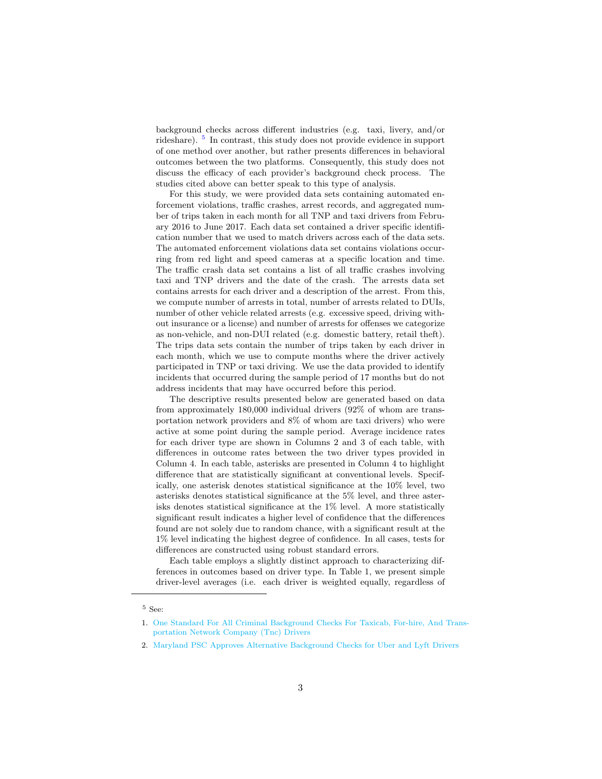background checks across different industries (e.g. taxi, livery, and/or rideshare). <sup>[5](#page-9-0)</sup> In contrast, this study does not provide evidence in support of one method over another, but rather presents differences in behavioral outcomes between the two platforms. Consequently, this study does not discuss the efficacy of each provider's background check process. The studies cited above can better speak to this type of analysis.

For this study, we were provided data sets containing automated enforcement violations, traffic crashes, arrest records, and aggregated number of trips taken in each month for all TNP and taxi drivers from February 2016 to June 2017. Each data set contained a driver specific identification number that we used to match drivers across each of the data sets. The automated enforcement violations data set contains violations occurring from red light and speed cameras at a specific location and time. The traffic crash data set contains a list of all traffic crashes involving taxi and TNP drivers and the date of the crash. The arrests data set contains arrests for each driver and a description of the arrest. From this, we compute number of arrests in total, number of arrests related to DUIs, number of other vehicle related arrests (e.g. excessive speed, driving without insurance or a license) and number of arrests for offenses we categorize as non-vehicle, and non-DUI related (e.g. domestic battery, retail theft). The trips data sets contain the number of trips taken by each driver in each month, which we use to compute months where the driver actively participated in TNP or taxi driving. We use the data provided to identify incidents that occurred during the sample period of 17 months but do not address incidents that may have occurred before this period.

The descriptive results presented below are generated based on data from approximately 180,000 individual drivers (92% of whom are transportation network providers and 8% of whom are taxi drivers) who were active at some point during the sample period. Average incidence rates for each driver type are shown in Columns 2 and 3 of each table, with differences in outcome rates between the two driver types provided in Column 4. In each table, asterisks are presented in Column 4 to highlight difference that are statistically significant at conventional levels. Specifically, one asterisk denotes statistical significance at the 10% level, two asterisks denotes statistical significance at the 5% level, and three asterisks denotes statistical significance at the 1% level. A more statistically significant result indicates a higher level of confidence that the differences found are not solely due to random chance, with a significant result at the 1% level indicating the highest degree of confidence. In all cases, tests for differences are constructed using robust standard errors.

Each table employs a slightly distinct approach to characterizing differences in outcomes based on driver type. In Table 1, we present simple driver-level averages (i.e. each driver is weighted equally, regardless of

<span id="page-9-0"></span> $^5$  See:

<sup>1.</sup> [One Standard For All Criminal Background Checks For Taxicab, For-hire, And Trans](http://www.utrc2.org/sites/default/files/pubs/Background%20Check%20Report.pdf)[portation Network Company \(Tnc\) Drivers](http://www.utrc2.org/sites/default/files/pubs/Background%20Check%20Report.pdf)

<sup>2.</sup> [Maryland PSC Approves Alternative Background Checks for Uber and Lyft Drivers](http://www.psc.state.md.us/wp-content/uploads/Order-No.-87957-Case-No.-9425-Rasier-LLC-and-Lyft-Inc.-Fingerprint-Waiver-Petitions.pdf)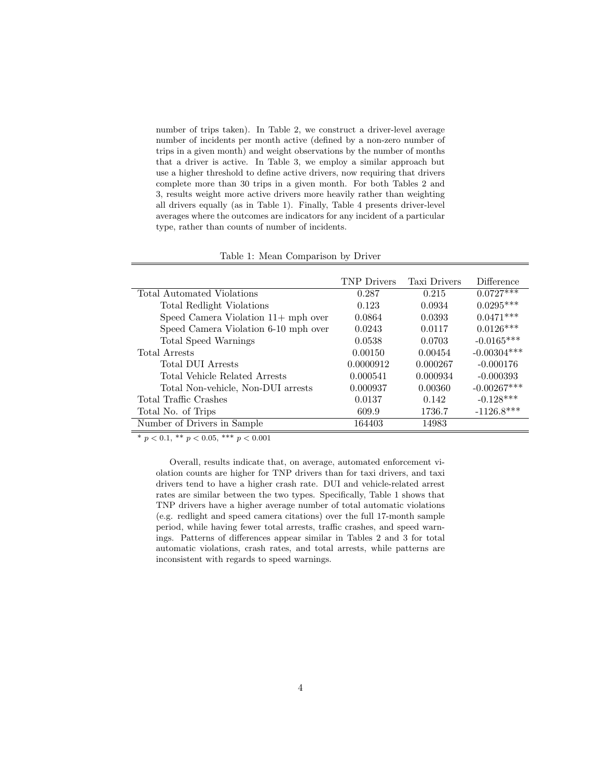number of trips taken). In Table 2, we construct a driver-level average number of incidents per month active (defined by a non-zero number of trips in a given month) and weight observations by the number of months that a driver is active. In Table 3, we employ a similar approach but use a higher threshold to define active drivers, now requiring that drivers complete more than 30 trips in a given month. For both Tables 2 and 3, results weight more active drivers more heavily rather than weighting all drivers equally (as in Table 1). Finally, Table 4 presents driver-level averages where the outcomes are indicators for any incident of a particular type, rather than counts of number of incidents.

|                                      | <b>TNP</b> Drivers | <b>Taxi Drivers</b> | Difference    |
|--------------------------------------|--------------------|---------------------|---------------|
| Total Automated Violations           | 0.287              | 0.215               | $0.0727***$   |
| Total Redlight Violations            | 0.123              | 0.0934              | $0.0295***$   |
| Speed Camera Violation 11+ mph over  | 0.0864             | 0.0393              | $0.0471***$   |
| Speed Camera Violation 6-10 mph over | 0.0243             | 0.0117              | $0.0126***$   |
| Total Speed Warnings                 | 0.0538             | 0.0703              | $-0.0165***$  |
| Total Arrests                        | 0.00150            | 0.00454             | $-0.00304***$ |
| <b>Total DUI Arrests</b>             | 0.0000912          | 0.000267            | $-0.000176$   |
| Total Vehicle Related Arrests        | 0.000541           | 0.000934            | $-0.000393$   |
| Total Non-vehicle, Non-DUI arrests   | 0.000937           | 0.00360             | $-0.00267***$ |
| Total Traffic Crashes                | 0.0137             | 0.142               | $-0.128***$   |
| Total No. of Trips                   | 609.9              | 1736.7              | $-1126.8***$  |
| Number of Drivers in Sample          | 164403             | 14983               |               |

Table 1: Mean Comparison by Driver

\*  $p < 0.1$ , \*\*  $p < 0.05$ , \*\*\*  $p < 0.001$ 

Overall, results indicate that, on average, automated enforcement violation counts are higher for TNP drivers than for taxi drivers, and taxi drivers tend to have a higher crash rate. DUI and vehicle-related arrest rates are similar between the two types. Specifically, Table 1 shows that TNP drivers have a higher average number of total automatic violations (e.g. redlight and speed camera citations) over the full 17-month sample period, while having fewer total arrests, traffic crashes, and speed warnings. Patterns of differences appear similar in Tables 2 and 3 for total automatic violations, crash rates, and total arrests, while patterns are inconsistent with regards to speed warnings.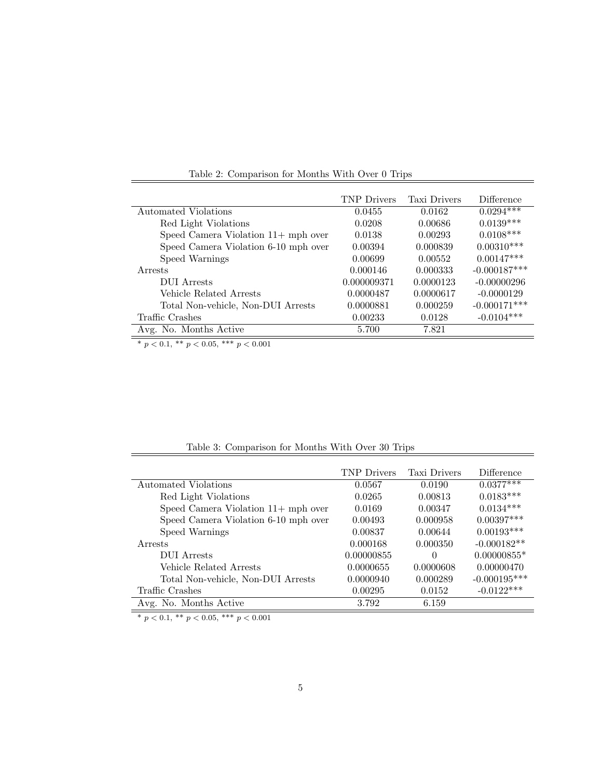|                                      | <b>TNP</b> Drivers | <b>Taxi Drivers</b> | Difference     |
|--------------------------------------|--------------------|---------------------|----------------|
| Automated Violations                 | 0.0455             | 0.0162              | $0.0294***$    |
| Red Light Violations                 | 0.0208             | 0.00686             | $0.0139***$    |
| Speed Camera Violation 11+ mph over  | 0.0138             | 0.00293             | $0.0108***$    |
| Speed Camera Violation 6-10 mph over | 0.00394            | 0.000839            | $0.00310***$   |
| Speed Warnings                       | 0.00699            | 0.00552             | $0.00147***$   |
| Arrests                              | 0.000146           | 0.000333            | $-0.000187***$ |
| DUI Arrests                          | 0.000009371        | 0.0000123           | $-0.00000296$  |
| Vehicle Related Arrests              | 0.0000487          | 0.0000617           | $-0.0000129$   |
| Total Non-vehicle, Non-DUI Arrests   | 0.0000881          | 0.000259            | $-0.000171***$ |
| Traffic Crashes                      | 0.00233            | 0.0128              | $-0.0104***$   |
| Avg. No. Months Active               | 5.700              | 7.821               |                |

Table 2: Comparison for Months With Over 0 Trips

\*  $p < 0.1$ , \*\*  $p < 0.05$ , \*\*\*  $p < 0.001$ 

|  | Table 3: Comparison for Months With Over 30 Trips |  |  |  |  |
|--|---------------------------------------------------|--|--|--|--|
|--|---------------------------------------------------|--|--|--|--|

|                                      | <b>TNP</b> Drivers | Taxi Drivers | Difference     |
|--------------------------------------|--------------------|--------------|----------------|
| Automated Violations                 | 0.0567             | 0.0190       | $0.0377***$    |
| Red Light Violations                 | 0.0265             | 0.00813      | $0.0183***$    |
| Speed Camera Violation 11+ mph over  | 0.0169             | 0.00347      | $0.0134***$    |
| Speed Camera Violation 6-10 mph over | 0.00493            | 0.000958     | $0.00397***$   |
| Speed Warnings                       | 0.00837            | 0.00644      | $0.00193***$   |
| <b>Arrests</b>                       | 0.000168           | 0.000350     | $-0.000182**$  |
| <b>DUI</b> Arrests                   | 0.00000855         | $\Omega$     | $0.00000855*$  |
| Vehicle Related Arrests              | 0.0000655          | 0.0000608    | 0.00000470     |
| Total Non-vehicle, Non-DUI Arrests   | 0.0000940          | 0.000289     | $-0.000195***$ |
| Traffic Crashes                      | 0.00295            | 0.0152       | $-0.0122***$   |
| Avg. No. Months Active               | 3.792              | 6.159        |                |

\*  $p < 0.1$ , \*\*  $p < 0.05$ , \*\*\*  $p < 0.001$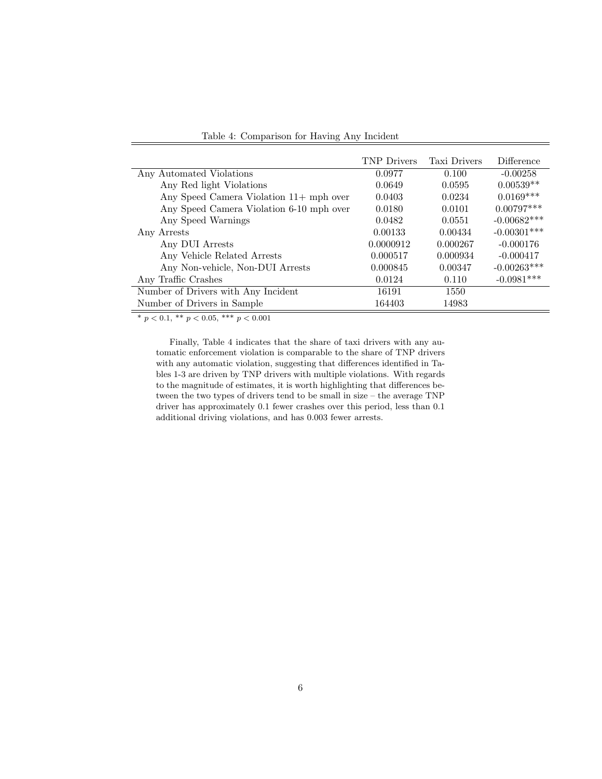|                                          | <b>TNP</b> Drivers | Taxi Drivers | Difference    |
|------------------------------------------|--------------------|--------------|---------------|
| Any Automated Violations                 | 0.0977             | 0.100        | $-0.00258$    |
| Any Red light Violations                 | 0.0649             | 0.0595       | $0.00539**$   |
| Any Speed Camera Violation 11+ mph over  | 0.0403             | 0.0234       | $0.0169***$   |
| Any Speed Camera Violation 6-10 mph over | 0.0180             | 0.0101       | $0.00797***$  |
| Any Speed Warnings                       | 0.0482             | 0.0551       | $-0.00682***$ |
| Any Arrests                              | 0.00133            | 0.00434      | $-0.00301***$ |
| Any DUI Arrests                          | 0.0000912          | 0.000267     | $-0.000176$   |
| Any Vehicle Related Arrests              | 0.000517           | 0.000934     | $-0.000417$   |
| Any Non-vehicle, Non-DUI Arrests         | 0.000845           | 0.00347      | $-0.00263***$ |
| Any Traffic Crashes                      | 0.0124             | 0.110        | $-0.0981***$  |
| Number of Drivers with Any Incident      | 16191              | 1550         |               |
| Number of Drivers in Sample              | 164403             | 14983        |               |

Table 4: Comparison for Having Any Incident

\*  $p < 0.1$ , \*\*  $p < 0.05$ , \*\*\*  $p < 0.001$ 

Finally, Table 4 indicates that the share of taxi drivers with any automatic enforcement violation is comparable to the share of TNP drivers with any automatic violation, suggesting that differences identified in Tables 1-3 are driven by TNP drivers with multiple violations. With regards to the magnitude of estimates, it is worth highlighting that differences between the two types of drivers tend to be small in size – the average TNP driver has approximately 0.1 fewer crashes over this period, less than 0.1 additional driving violations, and has 0.003 fewer arrests.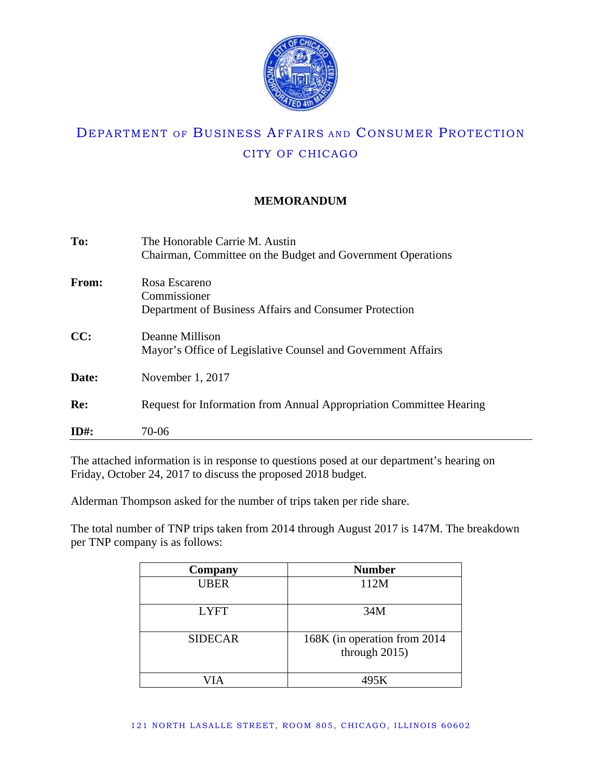

## **MEMORANDUM**

| To:          | The Honorable Carrie M. Austin<br>Chairman, Committee on the Budget and Government Operations |
|--------------|-----------------------------------------------------------------------------------------------|
| <b>From:</b> | Rosa Escareno<br>Commissioner<br>Department of Business Affairs and Consumer Protection       |
| CC:          | Deanne Millison<br>Mayor's Office of Legislative Counsel and Government Affairs               |
| Date:        | November 1, 2017                                                                              |
| Re:          | Request for Information from Annual Appropriation Committee Hearing                           |
| $ID#$ :      | 70-06                                                                                         |

The attached information is in response to questions posed at our department's hearing on Friday, October 24, 2017 to discuss the proposed 2018 budget.

Alderman Thompson asked for the number of trips taken per ride share.

The total number of TNP trips taken from 2014 through August 2017 is 147M. The breakdown per TNP company is as follows:

| Company        | <b>Number</b>                                  |
|----------------|------------------------------------------------|
| <b>UBER</b>    | 112M                                           |
| <b>LYFT</b>    | 34M                                            |
| <b>SIDECAR</b> | 168K (in operation from 2014)<br>through 2015) |
|                | 495K                                           |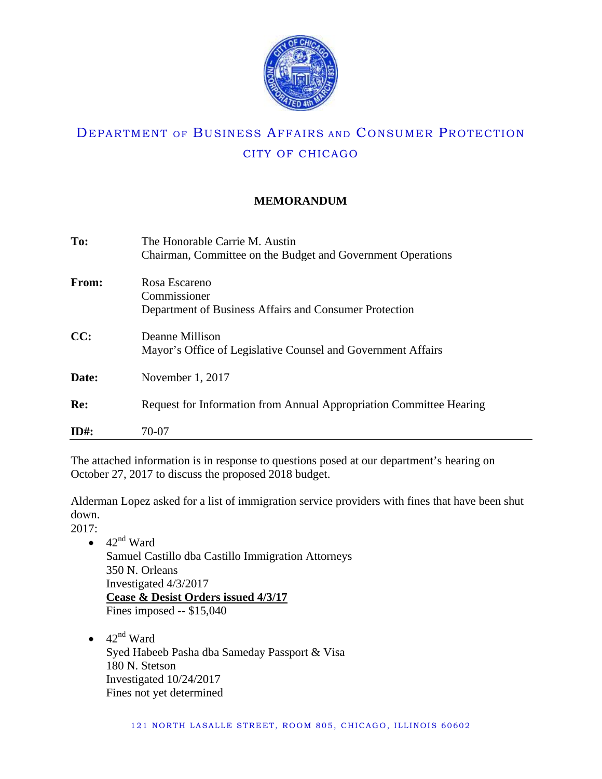

## **MEMORANDUM**

| To:     | The Honorable Carrie M. Austin                                      |
|---------|---------------------------------------------------------------------|
|         | Chairman, Committee on the Budget and Government Operations         |
| From:   | Rosa Escareno                                                       |
|         | Commissioner                                                        |
|         | Department of Business Affairs and Consumer Protection              |
| CC:     | Deanne Millison                                                     |
|         | Mayor's Office of Legislative Counsel and Government Affairs        |
| Date:   | November 1, 2017                                                    |
| Re:     | Request for Information from Annual Appropriation Committee Hearing |
|         |                                                                     |
| $ID#$ : | 70-07                                                               |

The attached information is in response to questions posed at our department's hearing on October 27, 2017 to discuss the proposed 2018 budget.

Alderman Lopez asked for a list of immigration service providers with fines that have been shut down.

2017:

- $\bullet$  42<sup>nd</sup> Ward Samuel Castillo dba Castillo Immigration Attorneys 350 N. Orleans Investigated 4/3/2017 **Cease & Desist Orders issued 4/3/17**
	- Fines imposed -- \$15,040
	- $42<sup>nd</sup>$  Ward Syed Habeeb Pasha dba Sameday Passport & Visa 180 N. Stetson Investigated 10/24/2017 Fines not yet determined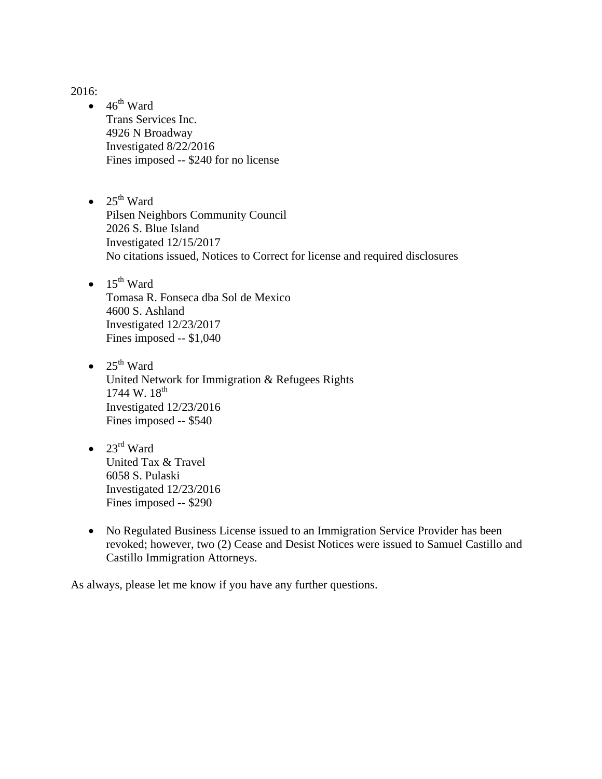2016:

- $\bullet$  46<sup>th</sup> Ward Trans Services Inc. 4926 N Broadway Investigated 8/22/2016 Fines imposed -- \$240 for no license
- $25<sup>th</sup>$  Ward Pilsen Neighbors Community Council 2026 S. Blue Island Investigated 12/15/2017 No citations issued, Notices to Correct for license and required disclosures
- $\bullet$  15<sup>th</sup> Ward Tomasa R. Fonseca dba Sol de Mexico 4600 S. Ashland Investigated 12/23/2017 Fines imposed -- \$1,040
- $25^{th}$  Ward United Network for Immigration & Refugees Rights 1744 W.  $18^{th}$ Investigated 12/23/2016 Fines imposed -- \$540
- $23^{\text{rd}}$  Ward United Tax & Travel 6058 S. Pulaski Investigated 12/23/2016 Fines imposed -- \$290
- No Regulated Business License issued to an Immigration Service Provider has been revoked; however, two (2) Cease and Desist Notices were issued to Samuel Castillo and Castillo Immigration Attorneys.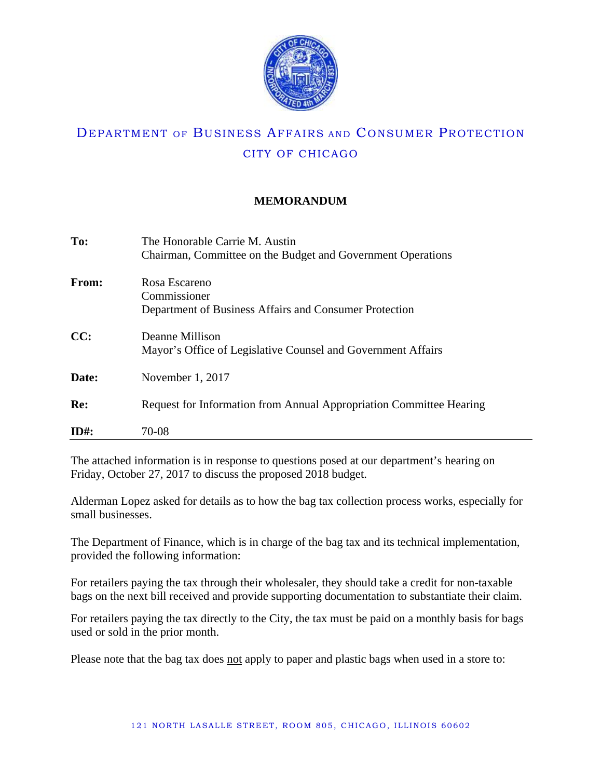

## **MEMORANDUM**

| To:     | The Honorable Carrie M. Austin                                      |
|---------|---------------------------------------------------------------------|
|         | Chairman, Committee on the Budget and Government Operations         |
| From:   | Rosa Escareno                                                       |
|         | Commissioner                                                        |
|         | Department of Business Affairs and Consumer Protection              |
| CC:     | Deanne Millison                                                     |
|         | Mayor's Office of Legislative Counsel and Government Affairs        |
| Date:   | November 1, 2017                                                    |
| Re:     | Request for Information from Annual Appropriation Committee Hearing |
|         |                                                                     |
| $ID#$ : | 70-08                                                               |

The attached information is in response to questions posed at our department's hearing on Friday, October 27, 2017 to discuss the proposed 2018 budget.

Alderman Lopez asked for details as to how the bag tax collection process works, especially for small businesses.

The Department of Finance, which is in charge of the bag tax and its technical implementation, provided the following information:

For retailers paying the tax through their wholesaler, they should take a credit for non-taxable bags on the next bill received and provide supporting documentation to substantiate their claim.

For retailers paying the tax directly to the City, the tax must be paid on a monthly basis for bags used or sold in the prior month.

Please note that the bag tax does not apply to paper and plastic bags when used in a store to: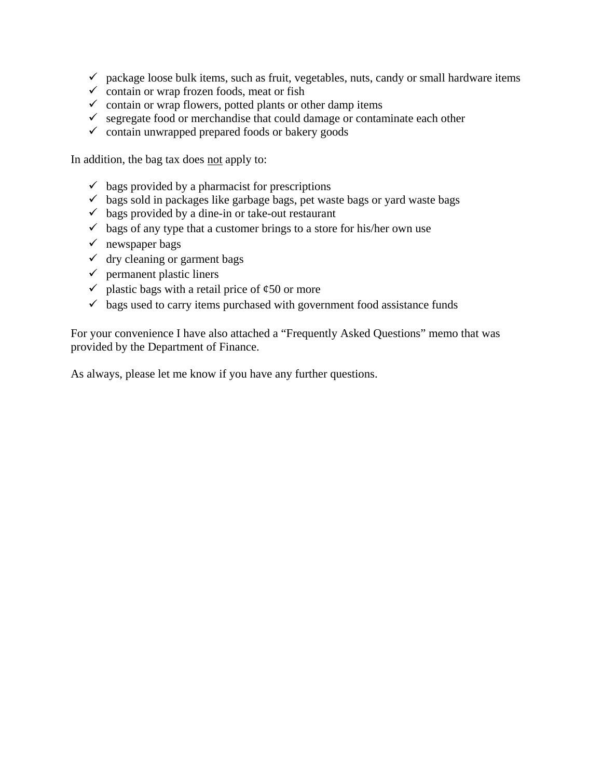- $\checkmark$  package loose bulk items, such as fruit, vegetables, nuts, candy or small hardware items
- $\checkmark$  contain or wrap frozen foods, meat or fish
- $\checkmark$  contain or wrap flowers, potted plants or other damp items
- $\checkmark$  segregate food or merchandise that could damage or contaminate each other
- $\checkmark$  contain unwrapped prepared foods or bakery goods

In addition, the bag tax does not apply to:

- $\checkmark$  bags provided by a pharmacist for prescriptions
- $\checkmark$  bags sold in packages like garbage bags, pet waste bags or yard waste bags
- $\checkmark$  bags provided by a dine-in or take-out restaurant
- $\checkmark$  bags of any type that a customer brings to a store for his/her own use
- $\checkmark$  newspaper bags
- $\checkmark$  dry cleaning or garment bags
- $\checkmark$  permanent plastic liners
- $\checkmark$  plastic bags with a retail price of  $\&$  50 or more
- $\checkmark$  bags used to carry items purchased with government food assistance funds

For your convenience I have also attached a "Frequently Asked Questions" memo that was provided by the Department of Finance.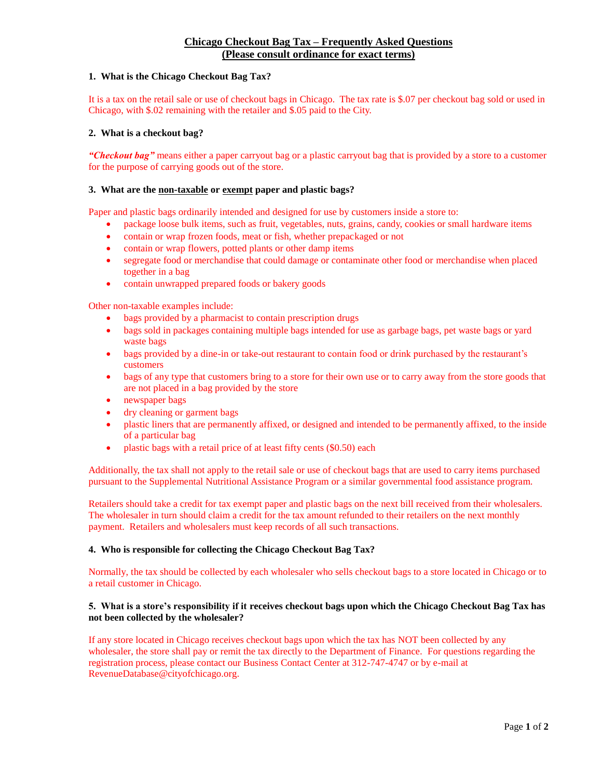### **Chicago Checkout Bag Tax – Frequently Asked Questions (Please consult ordinance for exact terms)**

### **1. What is the Chicago Checkout Bag Tax?**

It is a tax on the retail sale or use of checkout bags in Chicago. The tax rate is \$.07 per checkout bag sold or used in Chicago, with \$.02 remaining with the retailer and \$.05 paid to the City.

### **2. What is a checkout bag?**

*"Checkout bag"* means either a paper carryout bag or a plastic carryout bag that is provided by a store to a customer for the purpose of carrying goods out of the store.

### **3. What are the non-taxable or exempt paper and plastic bags?**

Paper and plastic bags ordinarily intended and designed for use by customers inside a store to:

- package loose bulk items, such as fruit, vegetables, nuts, grains, candy, cookies or small hardware items
- contain or wrap frozen foods, meat or fish, whether prepackaged or not
- contain or wrap flowers, potted plants or other damp items
- segregate food or merchandise that could damage or contaminate other food or merchandise when placed together in a bag
- contain unwrapped prepared foods or bakery goods

Other non-taxable examples include:

- bags provided by a pharmacist to contain prescription drugs
- bags sold in packages containing multiple bags intended for use as garbage bags, pet waste bags or yard waste bags
- bags provided by a dine-in or take-out restaurant to contain food or drink purchased by the restaurant's customers
- bags of any type that customers bring to a store for their own use or to carry away from the store goods that are not placed in a bag provided by the store
- newspaper bags
- dry cleaning or garment bags
- plastic liners that are permanently affixed, or designed and intended to be permanently affixed, to the inside of a particular bag
- plastic bags with a retail price of at least fifty cents (\$0.50) each

Additionally, the tax shall not apply to the retail sale or use of checkout bags that are used to carry items purchased pursuant to the Supplemental Nutritional Assistance Program or a similar governmental food assistance program.

Retailers should take a credit for tax exempt paper and plastic bags on the next bill received from their wholesalers. The wholesaler in turn should claim a credit for the tax amount refunded to their retailers on the next monthly payment. Retailers and wholesalers must keep records of all such transactions.

#### **4. Who is responsible for collecting the Chicago Checkout Bag Tax?**

Normally, the tax should be collected by each wholesaler who sells checkout bags to a store located in Chicago or to a retail customer in Chicago.

### **5. What is a store's responsibility if it receives checkout bags upon which the Chicago Checkout Bag Tax has not been collected by the wholesaler?**

If any store located in Chicago receives checkout bags upon which the tax has NOT been collected by any wholesaler, the store shall pay or remit the tax directly to the Department of Finance. For questions regarding the registration process, please contact our Business Contact Center at 312-747-4747 or by e-mail at RevenueDatabase@cityofchicago.org.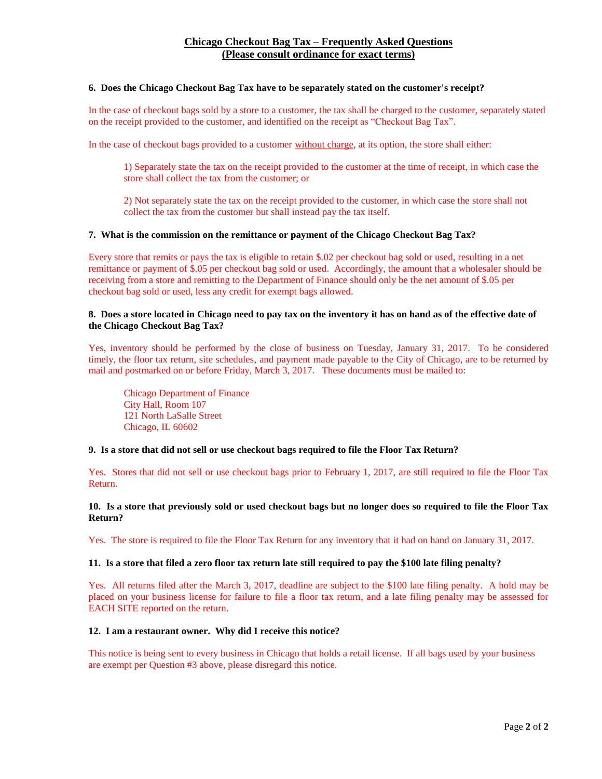### **Chicago Checkout Bag Tax – Frequently Asked Questions (Please consult ordinance for exact terms)**

#### **6. Does the Chicago Checkout Bag Tax have to be separately stated on the customer's receipt?**

In the case of checkout bags sold by a store to a customer, the tax shall be charged to the customer, separately stated on the receipt provided to the customer, and identified on the receipt as "Checkout Bag Tax".

In the case of checkout bags provided to a customer without charge, at its option, the store shall either:

1) Separately state the tax on the receipt provided to the customer at the time of receipt, in which case the store shall collect the tax from the customer; or

2) Not separately state the tax on the receipt provided to the customer, in which case the store shall not collect the tax from the customer but shall instead pay the tax itself.

#### **7. What is the commission on the remittance or payment of the Chicago Checkout Bag Tax?**

Every store that remits or pays the tax is eligible to retain \$.02 per checkout bag sold or used, resulting in a net remittance or payment of \$.05 per checkout bag sold or used. Accordingly, the amount that a wholesaler should be receiving from a store and remitting to the Department of Finance should only be the net amount of \$.05 per checkout bag sold or used, less any credit for exempt bags allowed.

### **8. Does a store located in Chicago need to pay tax on the inventory it has on hand as of the effective date of the Chicago Checkout Bag Tax?**

Yes, inventory should be performed by the close of business on Tuesday, January 31, 2017. To be considered timely, the floor tax return, site schedules, and payment made payable to the City of Chicago, are to be returned by mail and postmarked on or before Friday, March 3, 2017. These documents must be mailed to:

Chicago Department of Finance City Hall, Room 107 121 North LaSalle Street Chicago, IL 60602

#### **9. Is a store that did not sell or use checkout bags required to file the Floor Tax Return?**

Yes. Stores that did not sell or use checkout bags prior to February 1, 2017, are still required to file the Floor Tax Return.

**10. Is a store that previously sold or used checkout bags but no longer does so required to file the Floor Tax Return?**

Yes. The store is required to file the Floor Tax Return for any inventory that it had on hand on January 31, 2017.

#### **11. Is a store that filed a zero floor tax return late still required to pay the \$100 late filing penalty?**

Yes. All returns filed after the March 3, 2017, deadline are subject to the \$100 late filing penalty. A hold may be placed on your business license for failure to file a floor tax return, and a late filing penalty may be assessed for EACH SITE reported on the return.

#### **12. I am a restaurant owner. Why did I receive this notice?**

This notice is being sent to every business in Chicago that holds a retail license. If all bags used by your business are exempt per Question #3 above, please disregard this notice.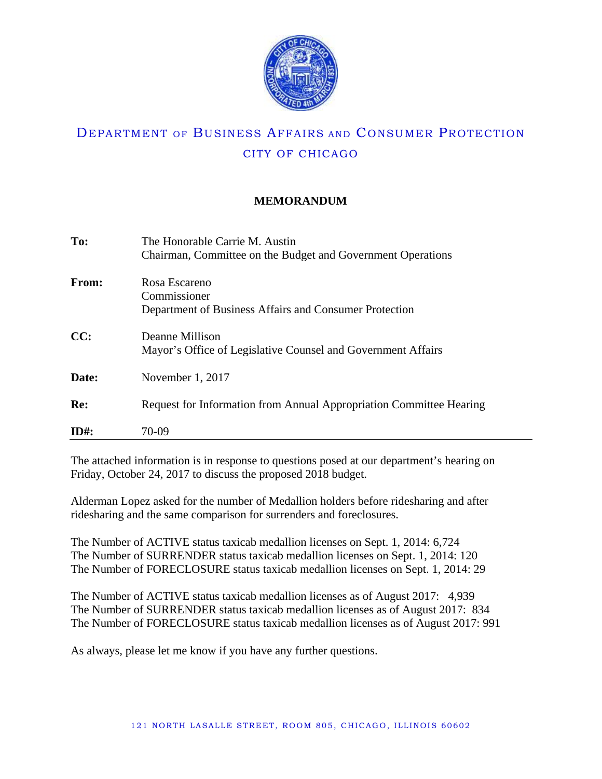

## **MEMORANDUM**

| To:     | The Honorable Carrie M. Austin<br>Chairman, Committee on the Budget and Government Operations |
|---------|-----------------------------------------------------------------------------------------------|
| From:   | Rosa Escareno<br>Commissioner<br>Department of Business Affairs and Consumer Protection       |
| CC:     | Deanne Millison<br>Mayor's Office of Legislative Counsel and Government Affairs               |
| Date:   | November 1, 2017                                                                              |
| Re:     | Request for Information from Annual Appropriation Committee Hearing                           |
| $ID#$ : | 70-09                                                                                         |

The attached information is in response to questions posed at our department's hearing on Friday, October 24, 2017 to discuss the proposed 2018 budget.

Alderman Lopez asked for the number of Medallion holders before ridesharing and after ridesharing and the same comparison for surrenders and foreclosures.

The Number of ACTIVE status taxicab medallion licenses on Sept. 1, 2014: 6,724 The Number of SURRENDER status taxicab medallion licenses on Sept. 1, 2014: 120 The Number of FORECLOSURE status taxicab medallion licenses on Sept. 1, 2014: 29

The Number of ACTIVE status taxicab medallion licenses as of August 2017: 4,939 The Number of SURRENDER status taxicab medallion licenses as of August 2017: 834 The Number of FORECLOSURE status taxicab medallion licenses as of August 2017: 991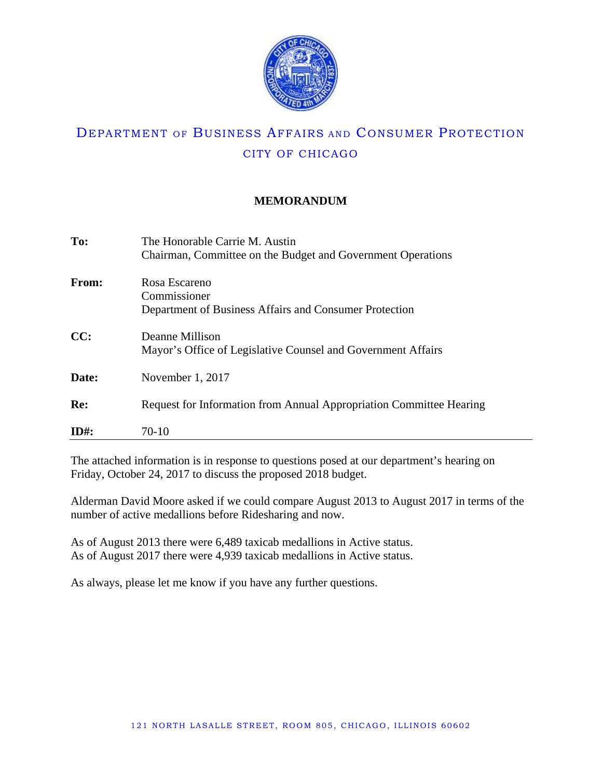

## **MEMORANDUM**

| The Honorable Carrie M. Austin                                      |
|---------------------------------------------------------------------|
| Chairman, Committee on the Budget and Government Operations         |
| Rosa Escareno                                                       |
| Commissioner                                                        |
| Department of Business Affairs and Consumer Protection              |
| Deanne Millison                                                     |
| Mayor's Office of Legislative Counsel and Government Affairs        |
| November 1, 2017                                                    |
| Request for Information from Annual Appropriation Committee Hearing |
|                                                                     |
| 70-10                                                               |
|                                                                     |

The attached information is in response to questions posed at our department's hearing on Friday, October 24, 2017 to discuss the proposed 2018 budget.

Alderman David Moore asked if we could compare August 2013 to August 2017 in terms of the number of active medallions before Ridesharing and now.

As of August 2013 there were 6,489 taxicab medallions in Active status. As of August 2017 there were 4,939 taxicab medallions in Active status.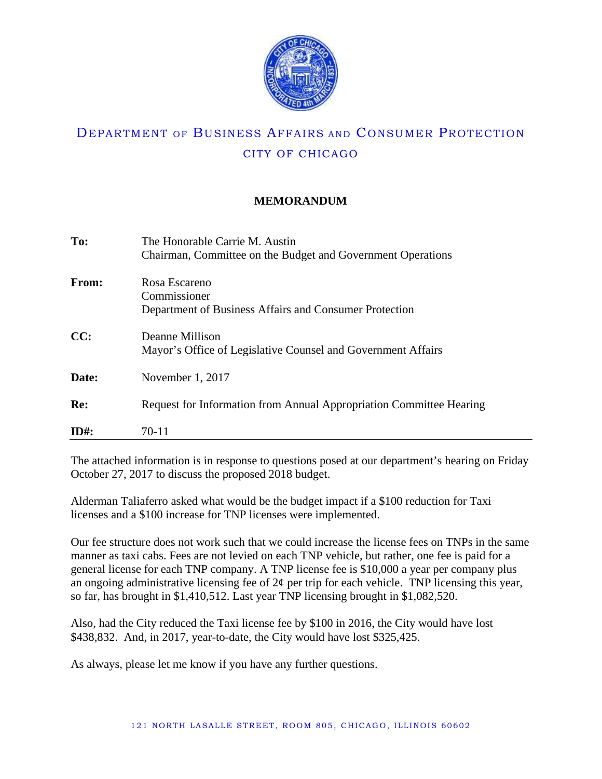

## **MEMORANDUM**

| To:     | The Honorable Carrie M. Austin<br>Chairman, Committee on the Budget and Government Operations |
|---------|-----------------------------------------------------------------------------------------------|
| From:   | Rosa Escareno<br>Commissioner<br>Department of Business Affairs and Consumer Protection       |
| CC:     | Deanne Millison<br>Mayor's Office of Legislative Counsel and Government Affairs               |
| Date:   | November 1, 2017                                                                              |
| Re:     | Request for Information from Annual Appropriation Committee Hearing                           |
| $ID#$ : | 70-11                                                                                         |

The attached information is in response to questions posed at our department's hearing on Friday October 27, 2017 to discuss the proposed 2018 budget.

Alderman Taliaferro asked what would be the budget impact if a \$100 reduction for Taxi licenses and a \$100 increase for TNP licenses were implemented.

Our fee structure does not work such that we could increase the license fees on TNPs in the same manner as taxi cabs. Fees are not levied on each TNP vehicle, but rather, one fee is paid for a general license for each TNP company. A TNP license fee is \$10,000 a year per company plus an ongoing administrative licensing fee of  $2\phi$  per trip for each vehicle. TNP licensing this year, so far, has brought in \$1,410,512. Last year TNP licensing brought in \$1,082,520.

Also, had the City reduced the Taxi license fee by \$100 in 2016, the City would have lost \$438,832. And, in 2017, year-to-date, the City would have lost \$325,425.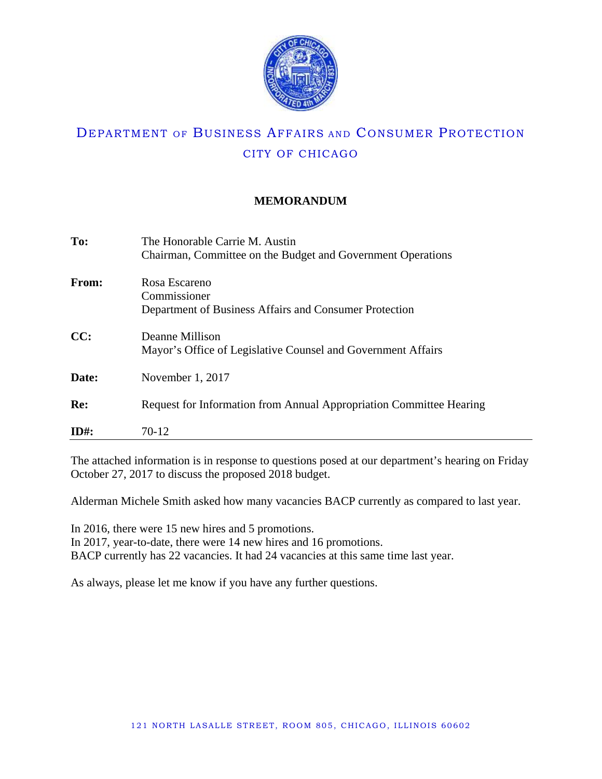

## **MEMORANDUM**

| To:     | The Honorable Carrie M. Austin                                      |
|---------|---------------------------------------------------------------------|
|         | Chairman, Committee on the Budget and Government Operations         |
| From:   | Rosa Escareno                                                       |
|         | Commissioner                                                        |
|         | Department of Business Affairs and Consumer Protection              |
| CC:     | Deanne Millison                                                     |
|         | Mayor's Office of Legislative Counsel and Government Affairs        |
| Date:   | November 1, 2017                                                    |
| Re:     | Request for Information from Annual Appropriation Committee Hearing |
|         |                                                                     |
| $ID#$ : | 70-12                                                               |

The attached information is in response to questions posed at our department's hearing on Friday October 27, 2017 to discuss the proposed 2018 budget.

Alderman Michele Smith asked how many vacancies BACP currently as compared to last year.

In 2016, there were 15 new hires and 5 promotions. In 2017, year-to-date, there were 14 new hires and 16 promotions. BACP currently has 22 vacancies. It had 24 vacancies at this same time last year.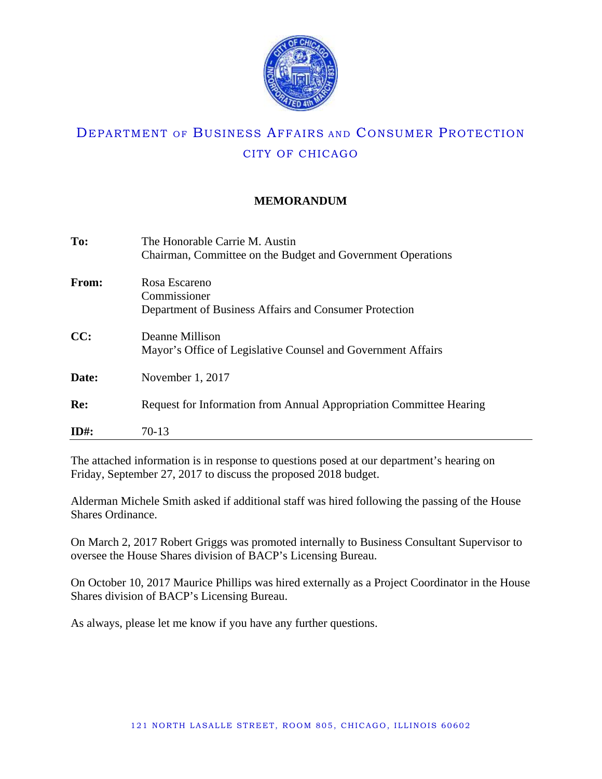

## **MEMORANDUM**

| To:     | The Honorable Carrie M. Austin                                      |
|---------|---------------------------------------------------------------------|
|         | Chairman, Committee on the Budget and Government Operations         |
| From:   | Rosa Escareno                                                       |
|         | Commissioner                                                        |
|         | Department of Business Affairs and Consumer Protection              |
| CC:     | Deanne Millison                                                     |
|         | Mayor's Office of Legislative Counsel and Government Affairs        |
| Date:   | November 1, 2017                                                    |
|         |                                                                     |
| Re:     | Request for Information from Annual Appropriation Committee Hearing |
| $ID#$ : | 70-13                                                               |

The attached information is in response to questions posed at our department's hearing on Friday, September 27, 2017 to discuss the proposed 2018 budget.

Alderman Michele Smith asked if additional staff was hired following the passing of the House Shares Ordinance.

On March 2, 2017 Robert Griggs was promoted internally to Business Consultant Supervisor to oversee the House Shares division of BACP's Licensing Bureau.

On October 10, 2017 Maurice Phillips was hired externally as a Project Coordinator in the House Shares division of BACP's Licensing Bureau.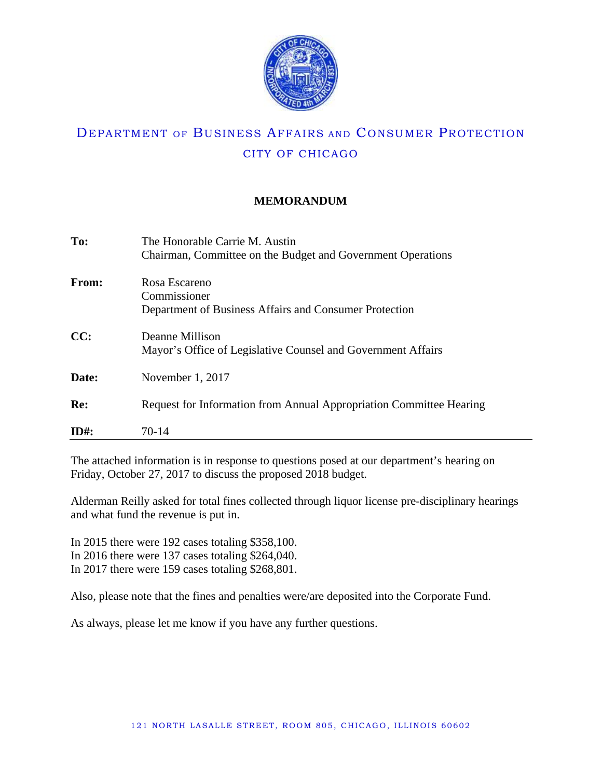

## **MEMORANDUM**

| To:          | The Honorable Carrie M. Austin                                      |
|--------------|---------------------------------------------------------------------|
|              | Chairman, Committee on the Budget and Government Operations         |
| <b>From:</b> | Rosa Escareno                                                       |
|              | Commissioner                                                        |
|              | Department of Business Affairs and Consumer Protection              |
| CC:          | Deanne Millison                                                     |
|              | Mayor's Office of Legislative Counsel and Government Affairs        |
| Date:        | November $1, 2017$                                                  |
| Re:          | Request for Information from Annual Appropriation Committee Hearing |
|              |                                                                     |
| $ID#$ :      | 70-14                                                               |

The attached information is in response to questions posed at our department's hearing on Friday, October 27, 2017 to discuss the proposed 2018 budget.

Alderman Reilly asked for total fines collected through liquor license pre-disciplinary hearings and what fund the revenue is put in.

In 2015 there were 192 cases totaling \$358,100. In 2016 there were 137 cases totaling \$264,040. In 2017 there were 159 cases totaling \$268,801.

Also, please note that the fines and penalties were/are deposited into the Corporate Fund.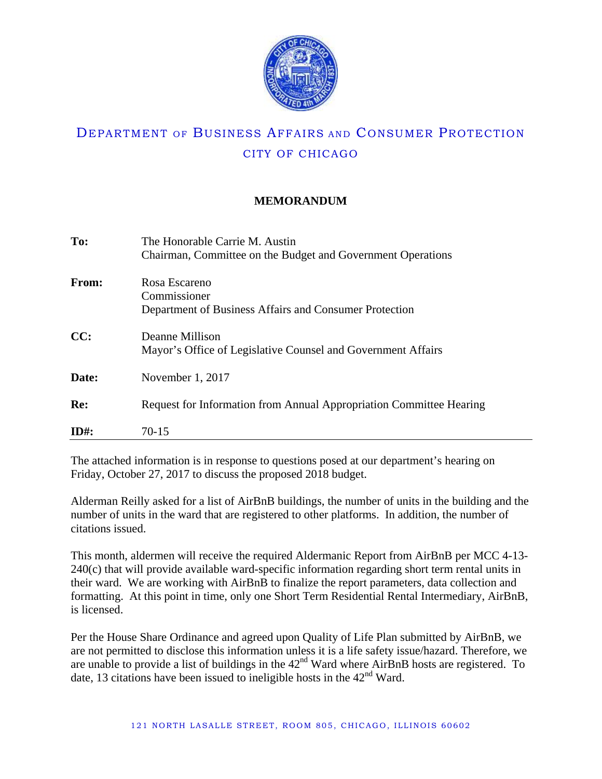

## **MEMORANDUM**

| To:          | The Honorable Carrie M. Austin<br>Chairman, Committee on the Budget and Government Operations |
|--------------|-----------------------------------------------------------------------------------------------|
| <b>From:</b> | Rosa Escareno<br>Commissioner<br>Department of Business Affairs and Consumer Protection       |
| CC:          | Deanne Millison<br>Mayor's Office of Legislative Counsel and Government Affairs               |
| Date:        | November 1, 2017                                                                              |
| Re:          | Request for Information from Annual Appropriation Committee Hearing                           |
| $ID#$ :      | $70-15$                                                                                       |

The attached information is in response to questions posed at our department's hearing on Friday, October 27, 2017 to discuss the proposed 2018 budget.

Alderman Reilly asked for a list of AirBnB buildings, the number of units in the building and the number of units in the ward that are registered to other platforms. In addition, the number of citations issued.

This month, aldermen will receive the required Aldermanic Report from AirBnB per MCC 4-13- 240(c) that will provide available ward-specific information regarding short term rental units in their ward. We are working with AirBnB to finalize the report parameters, data collection and formatting. At this point in time, only one Short Term Residential Rental Intermediary, AirBnB, is licensed.

Per the House Share Ordinance and agreed upon Quality of Life Plan submitted by AirBnB, we are not permitted to disclose this information unless it is a life safety issue/hazard. Therefore, we are unable to provide a list of buildings in the 42<sup>nd</sup> Ward where AirBnB hosts are registered. To date, 13 citations have been issued to ineligible hosts in the  $42<sup>nd</sup>$  Ward.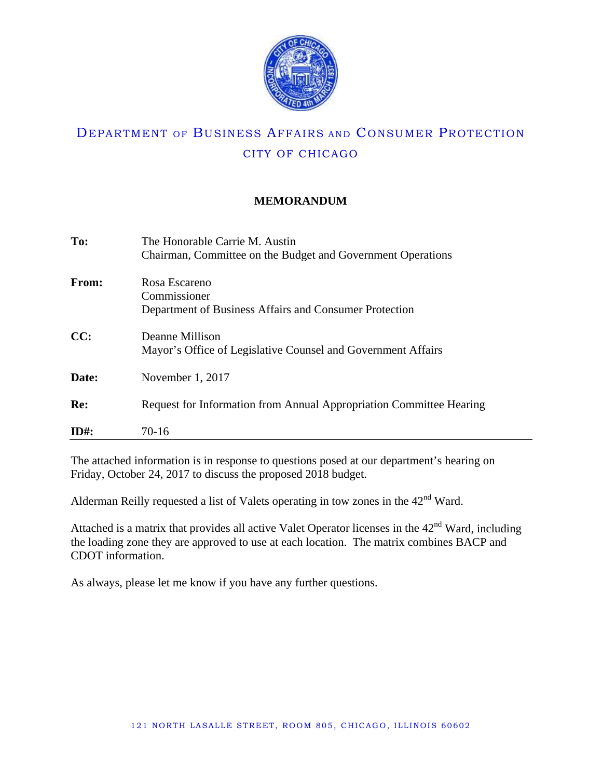

## **MEMORANDUM**

| To:          | The Honorable Carrie M. Austin                                      |
|--------------|---------------------------------------------------------------------|
|              | Chairman, Committee on the Budget and Government Operations         |
| <b>From:</b> | Rosa Escareno                                                       |
|              | Commissioner                                                        |
|              | Department of Business Affairs and Consumer Protection              |
| CC:          | Deanne Millison                                                     |
|              | Mayor's Office of Legislative Counsel and Government Affairs        |
| Date:        | November 1, 2017                                                    |
|              |                                                                     |
| Re:          | Request for Information from Annual Appropriation Committee Hearing |
| $ID#$ :      | 70-16                                                               |

The attached information is in response to questions posed at our department's hearing on Friday, October 24, 2017 to discuss the proposed 2018 budget.

Alderman Reilly requested a list of Valets operating in tow zones in the  $42<sup>nd</sup>$  Ward.

Attached is a matrix that provides all active Valet Operator licenses in the  $42<sup>nd</sup>$  Ward, including the loading zone they are approved to use at each location. The matrix combines BACP and CDOT information.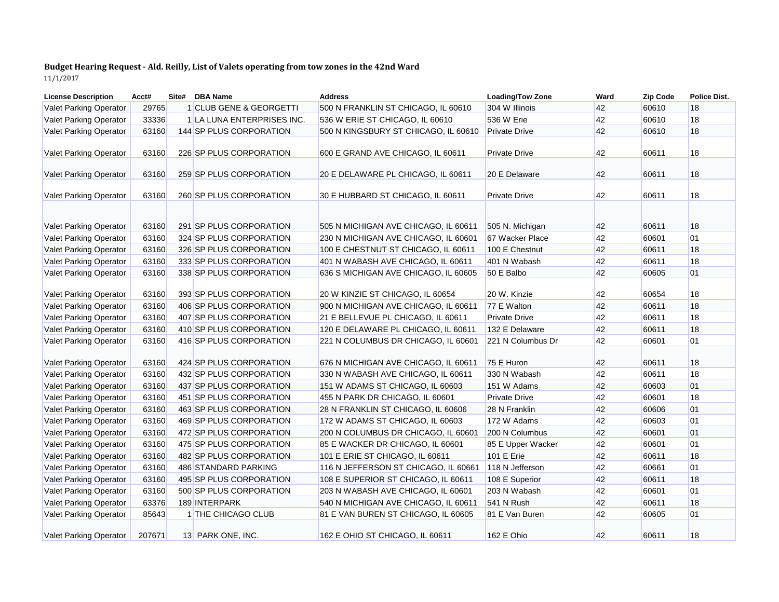## **Budget Hearing Request - Ald. Reilly, List of Valets operating from tow zones in the 42nd Ward** 11/1/2017

| <b>License Description</b>    | Acct#  | Site# | <b>DBA Name</b>            | <b>Address</b>                       | <b>Loading/Tow Zone</b> | Ward | <b>Zip Code</b> | <b>Police Dist.</b> |
|-------------------------------|--------|-------|----------------------------|--------------------------------------|-------------------------|------|-----------------|---------------------|
| <b>Valet Parking Operator</b> | 29765  |       | 1 CLUB GENE & GEORGETTI    | 500 N FRANKLIN ST CHICAGO, IL 60610  | 304 W Illinois          | 42   | 60610           | 18                  |
| <b>Valet Parking Operator</b> | 33336  |       | 1 LA LUNA ENTERPRISES INC. | 536 W ERIE ST CHICAGO, IL 60610      | 536 W Erie              | 42   | 60610           | 18                  |
| <b>Valet Parking Operator</b> | 63160  |       | 144 SP PLUS CORPORATION    | 500 N KINGSBURY ST CHICAGO, IL 60610 | <b>Private Drive</b>    | 42   | 60610           | 18                  |
|                               |        |       |                            |                                      |                         |      |                 |                     |
| <b>Valet Parking Operator</b> | 63160  |       | 226 SP PLUS CORPORATION    | 600 E GRAND AVE CHICAGO, IL 60611    | <b>Private Drive</b>    | 42   | 60611           | 18                  |
|                               |        |       |                            |                                      |                         |      |                 |                     |
| <b>Valet Parking Operator</b> | 63160  |       | 259 SP PLUS CORPORATION    | 20 E DELAWARE PL CHICAGO, IL 60611   | 20 E Delaware           | 42   | 60611           | 18                  |
|                               | 63160  |       | 260 SP PLUS CORPORATION    | 30 E HUBBARD ST CHICAGO, IL 60611    | <b>Private Drive</b>    | 42   | 60611           | 18                  |
| <b>Valet Parking Operator</b> |        |       |                            |                                      |                         |      |                 |                     |
|                               |        |       |                            |                                      |                         |      |                 |                     |
| <b>Valet Parking Operator</b> | 63160  |       | 291 SP PLUS CORPORATION    | 505 N MICHIGAN AVE CHICAGO, IL 60611 | 505 N. Michigan         | 42   | 60611           | 18                  |
| <b>Valet Parking Operator</b> | 63160  |       | 324 SP PLUS CORPORATION    | 230 N MICHIGAN AVE CHICAGO, IL 60601 | 67 Wacker Place         | 42   | 60601           | 01                  |
| <b>Valet Parking Operator</b> | 63160  |       | 326 SP PLUS CORPORATION    | 100 E CHESTNUT ST CHICAGO, IL 60611  | 100 E Chestnut          | 42   | 60611           | 18                  |
| <b>Valet Parking Operator</b> | 63160  |       | 333 SP PLUS CORPORATION    | 401 N WABASH AVE CHICAGO, IL 60611   | 401 N Wabash            | 42   | 60611           | 18                  |
| <b>Valet Parking Operator</b> | 63160  |       | 338 SP PLUS CORPORATION    | 636 S MICHIGAN AVE CHICAGO, IL 60605 | 50 E Balbo              | 42   | 60605           | 01                  |
|                               |        |       |                            |                                      |                         |      |                 |                     |
| <b>Valet Parking Operator</b> | 63160  |       | 393 SP PLUS CORPORATION    | 20 W KINZIE ST CHICAGO, IL 60654     | 20 W. Kinzie            | 42   | 60654           | 18                  |
| <b>Valet Parking Operator</b> | 63160  |       | 406 SP PLUS CORPORATION    | 900 N MICHIGAN AVE CHICAGO, IL 60611 | 77 E Walton             | 42   | 60611           | 18                  |
| <b>Valet Parking Operator</b> | 63160  |       | 407 SP PLUS CORPORATION    | 21 E BELLEVUE PL CHICAGO, IL 60611   | <b>Private Drive</b>    | 42   | 60611           | 18                  |
| <b>Valet Parking Operator</b> | 63160  |       | 410 SP PLUS CORPORATION    | 120 E DELAWARE PL CHICAGO, IL 60611  | 132 E Delaware          | 42   | 60611           | 18                  |
| <b>Valet Parking Operator</b> | 63160  |       | 416 SP PLUS CORPORATION    | 221 N COLUMBUS DR CHICAGO, IL 60601  | 221 N Columbus Dr       | 42   | 60601           | 01                  |
|                               |        |       |                            |                                      |                         |      |                 |                     |
| <b>Valet Parking Operator</b> | 63160  |       | 424 SP PLUS CORPORATION    | 676 N MICHIGAN AVE CHICAGO, IL 60611 | 75 E Huron              | 42   | 60611           | 18                  |
| <b>Valet Parking Operator</b> | 63160  |       | 432 SP PLUS CORPORATION    | 330 N WABASH AVE CHICAGO, IL 60611   | 330 N Wabash            | 42   | 60611           | 18                  |
| <b>Valet Parking Operator</b> | 63160  |       | 437 SP PLUS CORPORATION    | 151 W ADAMS ST CHICAGO, IL 60603     | 151 W Adams             | 42   | 60603           | 01                  |
| <b>Valet Parking Operator</b> | 63160  |       | 451 SP PLUS CORPORATION    | 455 N PARK DR CHICAGO, IL 60601      | <b>Private Drive</b>    | 42   | 60601           | 18                  |
| Valet Parking Operator        | 63160  |       | 463 SP PLUS CORPORATION    | 28 N FRANKLIN ST CHICAGO, IL 60606   | 28 N Franklin           | 42   | 60606           | 01                  |
| Valet Parking Operator        | 63160  |       | 469 SP PLUS CORPORATION    | 172 W ADAMS ST CHICAGO, IL 60603     | 172 W Adams             | 42   | 60603           | 01                  |
| <b>Valet Parking Operator</b> | 63160  |       | 472 SP PLUS CORPORATION    | 200 N COLUMBUS DR CHICAGO, IL 60601  | 200 N Columbus          | 42   | 60601           | 01                  |
| <b>Valet Parking Operator</b> | 63160  |       | 475 SP PLUS CORPORATION    | 85 E WACKER DR CHICAGO, IL 60601     | 85 E Upper Wacker       | 42   | 60601           | 01                  |
| <b>Valet Parking Operator</b> | 63160  |       | 482 SP PLUS CORPORATION    | 101 E ERIE ST CHICAGO, IL 60611      | 101 E Erie              | 42   | 60611           | 18                  |
| <b>Valet Parking Operator</b> | 63160  |       | 486 STANDARD PARKING       | 116 N JEFFERSON ST CHICAGO, IL 60661 | 118 N Jefferson         | 42   | 60661           | 01                  |
| <b>Valet Parking Operator</b> | 63160  |       | 495 SP PLUS CORPORATION    | 108 E SUPERIOR ST CHICAGO, IL 60611  | 108 E Superior          | 42   | 60611           | 18                  |
| <b>Valet Parking Operator</b> | 63160  |       | 500 SP PLUS CORPORATION    | 203 N WABASH AVE CHICAGO, IL 60601   | 203 N Wabash            | 42   | 60601           | 01                  |
| <b>Valet Parking Operator</b> | 63376  |       | 189 INTERPARK              | 540 N MICHIGAN AVE CHICAGO, IL 60611 | 541 N Rush              | 42   | 60611           | 18                  |
| <b>Valet Parking Operator</b> | 85643  |       | 1 THE CHICAGO CLUB         | 81 E VAN BUREN ST CHICAGO, IL 60605  | 81 E Van Buren          | 42   | 60605           | 01                  |
|                               |        |       |                            |                                      |                         |      |                 |                     |
| <b>Valet Parking Operator</b> | 207671 |       | 13 PARK ONE, INC.          | 162 E OHIO ST CHICAGO, IL 60611      | 162 E Ohio              | 42   | 60611           | 18                  |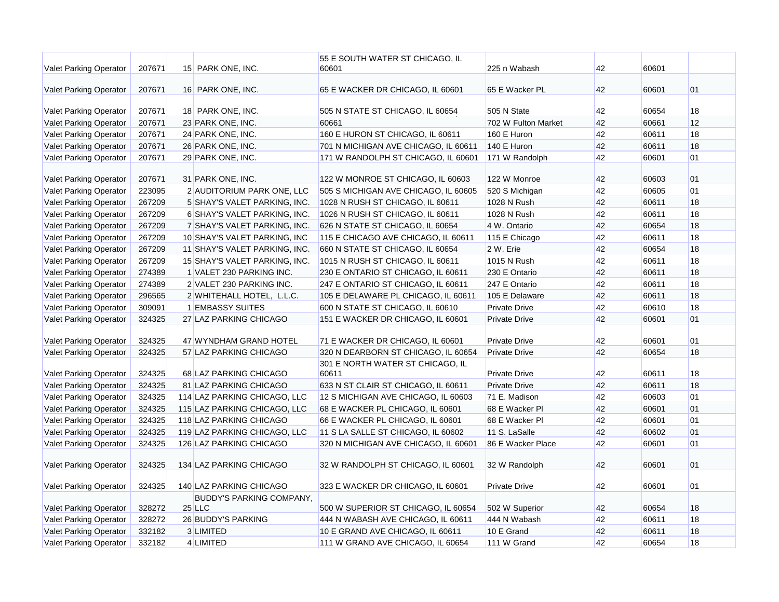|                               |        |                                             | 55 E SOUTH WATER ST CHICAGO, IL           |                      |    |       |           |
|-------------------------------|--------|---------------------------------------------|-------------------------------------------|----------------------|----|-------|-----------|
| Valet Parking Operator        | 207671 | 15 PARK ONE, INC.                           | 60601                                     | 225 n Wabash         | 42 | 60601 |           |
| Valet Parking Operator        | 207671 | 16 PARK ONE, INC.                           | 65 E WACKER DR CHICAGO, IL 60601          | 65 E Wacker PL       | 42 | 60601 | 01        |
| <b>Valet Parking Operator</b> | 207671 | 18 PARK ONE, INC.                           | 505 N STATE ST CHICAGO, IL 60654          | 505 N State          | 42 | 60654 | 18        |
| <b>Valet Parking Operator</b> | 207671 | 23 PARK ONE, INC.                           | 60661                                     | 702 W Fulton Market  | 42 | 60661 | 12        |
| <b>Valet Parking Operator</b> | 207671 | 24 PARK ONE, INC.                           | 160 E HURON ST CHICAGO, IL 60611          | 160 E Huron          | 42 | 60611 | 18        |
| <b>Valet Parking Operator</b> | 207671 | 26 PARK ONE, INC.                           | 701 N MICHIGAN AVE CHICAGO, IL 60611      | 140 E Huron          | 42 | 60611 | 18        |
| <b>Valet Parking Operator</b> | 207671 | 29 PARK ONE, INC.                           | 171 W RANDOLPH ST CHICAGO, IL 60601       | 171 W Randolph       | 42 | 60601 | 01        |
|                               |        |                                             |                                           |                      |    |       |           |
| Valet Parking Operator        | 207671 | 31 PARK ONE, INC.                           | 122 W MONROE ST CHICAGO, IL 60603         | 122 W Monroe         | 42 | 60603 | 01        |
| <b>Valet Parking Operator</b> | 223095 | 2 AUDITORIUM PARK ONE, LLC                  | 505 S MICHIGAN AVE CHICAGO, IL 60605      | 520 S Michigan       | 42 | 60605 | 01        |
| <b>Valet Parking Operator</b> | 267209 | 5 SHAY'S VALET PARKING, INC.                | 1028 N RUSH ST CHICAGO, IL 60611          | 1028 N Rush          | 42 | 60611 | 18        |
| Valet Parking Operator        | 267209 | 6 SHAY'S VALET PARKING, INC.                | 1026 N RUSH ST CHICAGO, IL 60611          | 1028 N Rush          | 42 | 60611 | 18        |
| <b>Valet Parking Operator</b> | 267209 | 7 SHAY'S VALET PARKING, INC.                | 626 N STATE ST CHICAGO, IL 60654          | 4 W. Ontario         | 42 | 60654 | 18        |
| <b>Valet Parking Operator</b> | 267209 | 10 SHAY'S VALET PARKING, INC                | 115 E CHICAGO AVE CHICAGO, IL 60611       | 115 E Chicago        | 42 | 60611 | 18        |
| <b>Valet Parking Operator</b> | 267209 | 11 SHAY'S VALET PARKING, INC.               | 660 N STATE ST CHICAGO, IL 60654          | 2 W. Erie            | 42 | 60654 | 18        |
| <b>Valet Parking Operator</b> | 267209 | 15 SHAY'S VALET PARKING, INC.               | 1015 N RUSH ST CHICAGO, IL 60611          | 1015 N Rush          | 42 | 60611 | 18        |
| Valet Parking Operator        | 274389 | 1 VALET 230 PARKING INC.                    | 230 E ONTARIO ST CHICAGO, IL 60611        | 230 E Ontario        | 42 | 60611 | 18        |
| Valet Parking Operator        | 274389 | 2 VALET 230 PARKING INC.                    | 247 E ONTARIO ST CHICAGO, IL 60611        | 247 E Ontario        | 42 | 60611 | 18        |
| Valet Parking Operator        | 296565 | 2 WHITEHALL HOTEL, L.L.C.                   | 105 E DELAWARE PL CHICAGO, IL 60611       | 105 E Delaware       | 42 | 60611 | 18        |
| <b>Valet Parking Operator</b> | 309091 | 1 EMBASSY SUITES                            | 600 N STATE ST CHICAGO, IL 60610          | <b>Private Drive</b> | 42 | 60610 | 18        |
| <b>Valet Parking Operator</b> | 324325 | 27 LAZ PARKING CHICAGO                      | 151 E WACKER DR CHICAGO, IL 60601         | <b>Private Drive</b> | 42 | 60601 | 01        |
| Valet Parking Operator        | 324325 | 47 WYNDHAM GRAND HOTEL                      | 71 E WACKER DR CHICAGO, IL 60601          | <b>Private Drive</b> | 42 | 60601 | 01        |
| Valet Parking Operator        | 324325 | 57 LAZ PARKING CHICAGO                      | 320 N DEARBORN ST CHICAGO, IL 60654       | <b>Private Drive</b> | 42 | 60654 | 18        |
| <b>Valet Parking Operator</b> | 324325 | 68 LAZ PARKING CHICAGO                      | 301 E NORTH WATER ST CHICAGO, IL<br>60611 | <b>Private Drive</b> | 42 | 60611 | 18        |
| <b>Valet Parking Operator</b> | 324325 | 81 LAZ PARKING CHICAGO                      | 633 N ST CLAIR ST CHICAGO, IL 60611       | <b>Private Drive</b> | 42 | 60611 | 18        |
| <b>Valet Parking Operator</b> | 324325 | 114 LAZ PARKING CHICAGO, LLC                | 12 S MICHIGAN AVE CHICAGO, IL 60603       | 71 E. Madison        | 42 | 60603 | 01        |
| <b>Valet Parking Operator</b> | 324325 | 115 LAZ PARKING CHICAGO, LLC                | 68 E WACKER PL CHICAGO, IL 60601          | 68 E Wacker PI       | 42 | 60601 | 01        |
| Valet Parking Operator        | 324325 | 118 LAZ PARKING CHICAGO                     | 66 E WACKER PL CHICAGO, IL 60601          | 68 E Wacker PI       | 42 | 60601 | 01        |
| Valet Parking Operator        | 324325 | 119 LAZ PARKING CHICAGO, LLC                | 11 S LA SALLE ST CHICAGO, IL 60602        | 11 S. LaSalle        | 42 | 60602 | 01        |
| Valet Parking Operator        | 324325 | 126 LAZ PARKING CHICAGO                     | 320 N MICHIGAN AVE CHICAGO, IL 60601      | 86 E Wacker Place    | 42 | 60601 | 01        |
| <b>Valet Parking Operator</b> | 324325 | 134 LAZ PARKING CHICAGO                     | 32 W RANDOLPH ST CHICAGO, IL 60601        | 32 W Randolph        | 42 | 60601 | 01        |
| <b>Valet Parking Operator</b> | 324325 | 140 LAZ PARKING CHICAGO                     | 323 E WACKER DR CHICAGO, IL 60601         | <b>Private Drive</b> | 42 | 60601 | 01        |
| <b>Valet Parking Operator</b> | 328272 | <b>BUDDY'S PARKING COMPANY,</b><br>$25$ LLC | 500 W SUPERIOR ST CHICAGO, IL 60654       | 502 W Superior       | 42 | 60654 | 18        |
| <b>Valet Parking Operator</b> | 328272 | 26 BUDDY'S PARKING                          | 444 N WABASH AVE CHICAGO, IL 60611        | 444 N Wabash         | 42 | 60611 | 18        |
| Valet Parking Operator        | 332182 | 3 LIMITED                                   | 10 E GRAND AVE CHICAGO, IL 60611          | 10 E Grand           | 42 | 60611 | <b>18</b> |
| <b>Valet Parking Operator</b> | 332182 | 4 LIMITED                                   | 111 W GRAND AVE CHICAGO, IL 60654         | 111 W Grand          | 42 | 60654 | 18        |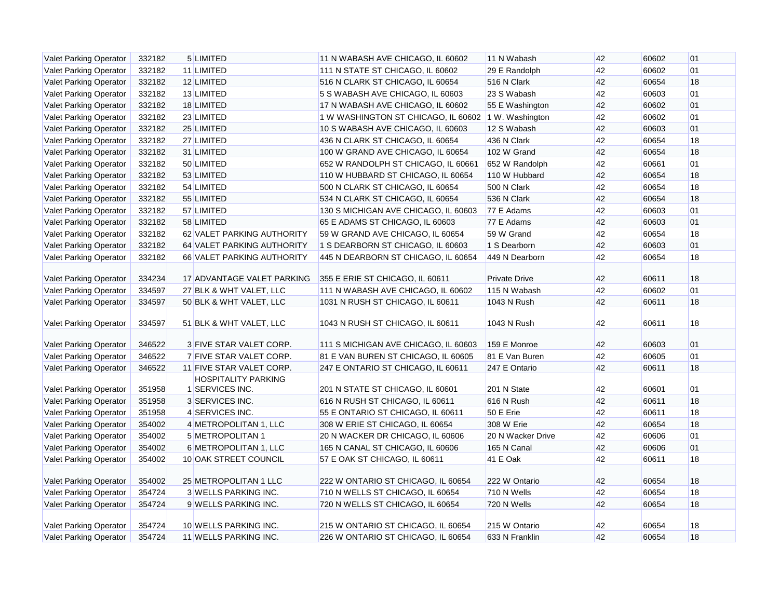| Valet Parking Operator        | 332182 | 5 LIMITED                  | 11 N WABASH AVE CHICAGO, IL 60602    | 11 N Wabash          | 42 | 60602 | 01 |
|-------------------------------|--------|----------------------------|--------------------------------------|----------------------|----|-------|----|
| Valet Parking Operator        | 332182 | 11 LIMITED                 | 111 N STATE ST CHICAGO, IL 60602     | 29 E Randolph        | 42 | 60602 | 01 |
| Valet Parking Operator        | 332182 | 12 LIMITED                 | 516 N CLARK ST CHICAGO, IL 60654     | 516 N Clark          | 42 | 60654 | 18 |
| Valet Parking Operator        | 332182 | 13 LIMITED                 | 5 S WABASH AVE CHICAGO, IL 60603     | 23 S Wabash          | 42 | 60603 | 01 |
| <b>Valet Parking Operator</b> | 332182 | 18 LIMITED                 | 17 N WABASH AVE CHICAGO, IL 60602    | 55 E Washington      | 42 | 60602 | 01 |
| Valet Parking Operator        | 332182 | 23 LIMITED                 | 1 W WASHINGTON ST CHICAGO, IL 60602  | 1 W. Washington      | 42 | 60602 | 01 |
| Valet Parking Operator        | 332182 | 25 LIMITED                 | 10 S WABASH AVE CHICAGO, IL 60603    | 12 S Wabash          | 42 | 60603 | 01 |
| <b>Valet Parking Operator</b> | 332182 | 27 LIMITED                 | 436 N CLARK ST CHICAGO, IL 60654     | 436 N Clark          | 42 | 60654 | 18 |
| Valet Parking Operator        | 332182 | 31 LIMITED                 | 100 W GRAND AVE CHICAGO, IL 60654    | 102 W Grand          | 42 | 60654 | 18 |
| <b>Valet Parking Operator</b> | 332182 | 50 LIMITED                 | 652 W RANDOLPH ST CHICAGO, IL 60661  | 652 W Randolph       | 42 | 60661 | 01 |
| Valet Parking Operator        | 332182 | 53 LIMITED                 | 110 W HUBBARD ST CHICAGO, IL 60654   | 110 W Hubbard        | 42 | 60654 | 18 |
| Valet Parking Operator        | 332182 | 54 LIMITED                 | 500 N CLARK ST CHICAGO, IL 60654     | 500 N Clark          | 42 | 60654 | 18 |
| Valet Parking Operator        | 332182 | 55 LIMITED                 | 534 N CLARK ST CHICAGO, IL 60654     | 536 N Clark          | 42 | 60654 | 18 |
| Valet Parking Operator        | 332182 | 57 LIMITED                 | 130 S MICHIGAN AVE CHICAGO, IL 60603 | 77 E Adams           | 42 | 60603 | 01 |
| <b>Valet Parking Operator</b> | 332182 | 58 LIMITED                 | 65 E ADAMS ST CHICAGO, IL 60603      | 77 E Adams           | 42 | 60603 | 01 |
| Valet Parking Operator        | 332182 | 62 VALET PARKING AUTHORITY | 59 W GRAND AVE CHICAGO, IL 60654     | 59 W Grand           | 42 | 60654 | 18 |
| Valet Parking Operator        | 332182 | 64 VALET PARKING AUTHORITY | 1 S DEARBORN ST CHICAGO, IL 60603    | 1 S Dearborn         | 42 | 60603 | 01 |
| <b>Valet Parking Operator</b> | 332182 | 66 VALET PARKING AUTHORITY | 445 N DEARBORN ST CHICAGO, IL 60654  | 449 N Dearborn       | 42 | 60654 | 18 |
|                               |        |                            |                                      |                      |    |       |    |
| Valet Parking Operator        | 334234 | 17 ADVANTAGE VALET PARKING | 355 E ERIE ST CHICAGO, IL 60611      | <b>Private Drive</b> | 42 | 60611 | 18 |
| Valet Parking Operator        | 334597 | 27 BLK & WHT VALET, LLC    | 111 N WABASH AVE CHICAGO, IL 60602   | 115 N Wabash         | 42 | 60602 | 01 |
| <b>Valet Parking Operator</b> | 334597 | 50 BLK & WHT VALET, LLC    | 1031 N RUSH ST CHICAGO, IL 60611     | 1043 N Rush          | 42 | 60611 | 18 |
| Valet Parking Operator        | 334597 | 51 BLK & WHT VALET, LLC    | 1043 N RUSH ST CHICAGO, IL 60611     | 1043 N Rush          | 42 | 60611 | 18 |
| Valet Parking Operator        | 346522 | 3 FIVE STAR VALET CORP.    | 111 S MICHIGAN AVE CHICAGO, IL 60603 | 159 E Monroe         | 42 | 60603 | 01 |
| Valet Parking Operator        | 346522 | 7 FIVE STAR VALET CORP.    | 81 E VAN BUREN ST CHICAGO, IL 60605  | 81 E Van Buren       | 42 | 60605 | 01 |
| <b>Valet Parking Operator</b> | 346522 | 11 FIVE STAR VALET CORP.   | 247 E ONTARIO ST CHICAGO, IL 60611   | 247 E Ontario        | 42 | 60611 | 18 |
|                               |        | <b>HOSPITALITY PARKING</b> |                                      |                      |    |       |    |
| <b>Valet Parking Operator</b> | 351958 | <b>SERVICES INC.</b>       | 201 N STATE ST CHICAGO, IL 60601     | 201 N State          | 42 | 60601 | 01 |
| Valet Parking Operator        | 351958 | 3 SERVICES INC.            | 616 N RUSH ST CHICAGO, IL 60611      | 616 N Rush           | 42 | 60611 | 18 |
| <b>Valet Parking Operator</b> | 351958 | 4 SERVICES INC.            | 55 E ONTARIO ST CHICAGO, IL 60611    | 50 E Erie            | 42 | 60611 | 18 |
| <b>Valet Parking Operator</b> | 354002 | 4 METROPOLITAN 1, LLC      | 308 W ERIE ST CHICAGO, IL 60654      | 308 W Erie           | 42 | 60654 | 18 |
| Valet Parking Operator        | 354002 | 5 METROPOLITAN 1           | 20 N WACKER DR CHICAGO, IL 60606     | 20 N Wacker Drive    | 42 | 60606 | 01 |
| <b>Valet Parking Operator</b> | 354002 | 6 METROPOLITAN 1, LLC      | 165 N CANAL ST CHICAGO, IL 60606     | 165 N Canal          | 42 | 60606 | 01 |
| <b>Valet Parking Operator</b> | 354002 | 10 OAK STREET COUNCIL      | 57 E OAK ST CHICAGO, IL 60611        | 41 E Oak             | 42 | 60611 | 18 |
| <b>Valet Parking Operator</b> | 354002 | 25 METROPOLITAN 1 LLC      | 222 W ONTARIO ST CHICAGO, IL 60654   | 222 W Ontario        | 42 | 60654 | 18 |
| <b>Valet Parking Operator</b> | 354724 | 3 WELLS PARKING INC.       | 710 N WELLS ST CHICAGO, IL 60654     | 710 N Wells          | 42 | 60654 | 18 |
| <b>Valet Parking Operator</b> | 354724 | 9 WELLS PARKING INC.       | 720 N WELLS ST CHICAGO, IL 60654     | 720 N Wells          | 42 | 60654 | 18 |
|                               |        |                            |                                      |                      |    |       |    |
| Valet Parking Operator        | 354724 | 10 WELLS PARKING INC.      | 215 W ONTARIO ST CHICAGO, IL 60654   | 215 W Ontario        | 42 | 60654 | 18 |
| <b>Valet Parking Operator</b> | 354724 | 11 WELLS PARKING INC.      | 226 W ONTARIO ST CHICAGO, IL 60654   | 633 N Franklin       | 42 | 60654 | 18 |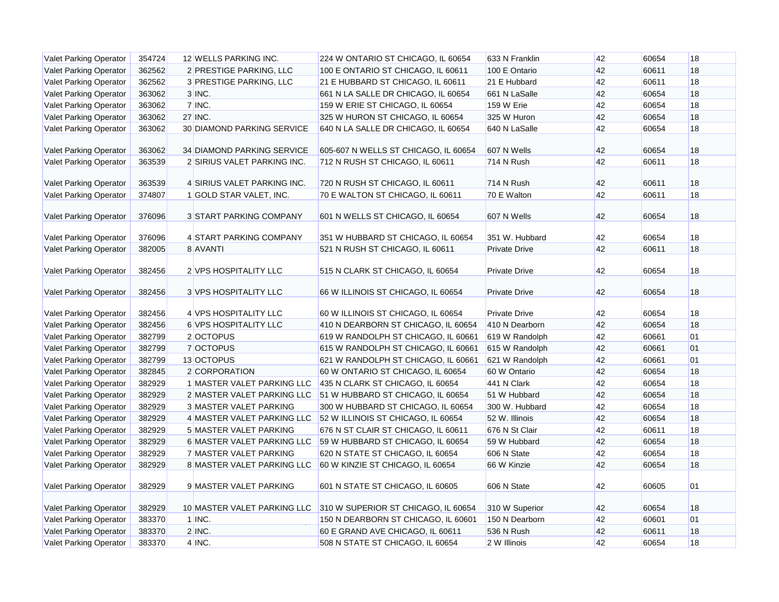| <b>Valet Parking Operator</b> | 354724 | 12 WELLS PARKING INC.          | 224 W ONTARIO ST CHICAGO, IL 60654   | 633 N Franklin       | 42 | 60654 | 18 |
|-------------------------------|--------|--------------------------------|--------------------------------------|----------------------|----|-------|----|
| Valet Parking Operator        | 362562 | 2 PRESTIGE PARKING, LLC        | 100 E ONTARIO ST CHICAGO, IL 60611   | 100 E Ontario        | 42 | 60611 | 18 |
| <b>Valet Parking Operator</b> | 362562 | 3 PRESTIGE PARKING, LLC        | 21 E HUBBARD ST CHICAGO, IL 60611    | 21 E Hubbard         | 42 | 60611 | 18 |
| <b>Valet Parking Operator</b> | 363062 | $3$ INC.                       | 661 N LA SALLE DR CHICAGO, IL 60654  | 661 N LaSalle        | 42 | 60654 | 18 |
| <b>Valet Parking Operator</b> | 363062 | 7 INC.                         | 159 W ERIE ST CHICAGO, IL 60654      | <b>159 W Erie</b>    | 42 | 60654 | 18 |
| Valet Parking Operator        | 363062 | 27 INC.                        | 325 W HURON ST CHICAGO, IL 60654     | 325 W Huron          | 42 | 60654 | 18 |
| <b>Valet Parking Operator</b> | 363062 | 30 DIAMOND PARKING SERVICE     | 640 N LA SALLE DR CHICAGO, IL 60654  | 640 N LaSalle        | 42 | 60654 | 18 |
|                               |        |                                |                                      |                      |    |       |    |
| Valet Parking Operator        | 363062 | 34 DIAMOND PARKING SERVICE     | 605-607 N WELLS ST CHICAGO, IL 60654 | 607 N Wells          | 42 | 60654 | 18 |
| <b>Valet Parking Operator</b> | 363539 | 2 SIRIUS VALET PARKING INC.    | 712 N RUSH ST CHICAGO, IL 60611      | 714 N Rush           | 42 | 60611 | 18 |
|                               |        |                                |                                      |                      |    |       |    |
| <b>Valet Parking Operator</b> | 363539 | 4 SIRIUS VALET PARKING INC.    | 720 N RUSH ST CHICAGO, IL 60611      | 714 N Rush           | 42 | 60611 | 18 |
| <b>Valet Parking Operator</b> | 374807 | 1 GOLD STAR VALET, INC.        | 70 E WALTON ST CHICAGO, IL 60611     | 70 E Walton          | 42 | 60611 | 18 |
| Valet Parking Operator        | 376096 | <b>3 START PARKING COMPANY</b> | 601 N WELLS ST CHICAGO, IL 60654     | 607 N Wells          | 42 | 60654 | 18 |
| Valet Parking Operator        | 376096 | 4 START PARKING COMPANY        | 351 W HUBBARD ST CHICAGO, IL 60654   | 351 W. Hubbard       | 42 | 60654 | 18 |
| <b>Valet Parking Operator</b> | 382005 | 8 AVANTI                       | 521 N RUSH ST CHICAGO, IL 60611      | <b>Private Drive</b> | 42 | 60611 | 18 |
| Valet Parking Operator        | 382456 | 2 VPS HOSPITALITY LLC          | 515 N CLARK ST CHICAGO, IL 60654     | <b>Private Drive</b> | 42 | 60654 | 18 |
| <b>Valet Parking Operator</b> | 382456 | <b>3 VPS HOSPITALITY LLC</b>   | 66 W ILLINOIS ST CHICAGO, IL 60654   | <b>Private Drive</b> | 42 | 60654 | 18 |
| Valet Parking Operator        | 382456 | 4 VPS HOSPITALITY LLC          | 60 W ILLINOIS ST CHICAGO, IL 60654   | <b>Private Drive</b> | 42 | 60654 | 18 |
| <b>Valet Parking Operator</b> | 382456 | 6 VPS HOSPITALITY LLC          | 410 N DEARBORN ST CHICAGO, IL 60654  | 410 N Dearborn       | 42 | 60654 | 18 |
| <b>Valet Parking Operator</b> | 382799 | 2 OCTOPUS                      | 619 W RANDOLPH ST CHICAGO, IL 60661  | 619 W Randolph       | 42 | 60661 | 01 |
| <b>Valet Parking Operator</b> | 382799 | 7 OCTOPUS                      | 615 W RANDOLPH ST CHICAGO, IL 60661  | 615 W Randolph       | 42 | 60661 | 01 |
| <b>Valet Parking Operator</b> | 382799 | 13 OCTOPUS                     | 621 W RANDOLPH ST CHICAGO, IL 60661  | 621 W Randolph       | 42 | 60661 | 01 |
| <b>Valet Parking Operator</b> | 382845 | 2 CORPORATION                  | 60 W ONTARIO ST CHICAGO, IL 60654    | 60 W Ontario         | 42 | 60654 | 18 |
| <b>Valet Parking Operator</b> | 382929 | 1 MASTER VALET PARKING LLC     | 435 N CLARK ST CHICAGO, IL 60654     | 441 N Clark          | 42 | 60654 | 18 |
| Valet Parking Operator        | 382929 | 2 MASTER VALET PARKING LLC     | 51 W HUBBARD ST CHICAGO, IL 60654    | 51 W Hubbard         | 42 | 60654 | 18 |
| Valet Parking Operator        | 382929 | <b>3 MASTER VALET PARKING</b>  | 300 W HUBBARD ST CHICAGO, IL 60654   | 300 W. Hubbard       | 42 | 60654 | 18 |
| Valet Parking Operator        | 382929 | 4 MASTER VALET PARKING LLC     | 52 W ILLINOIS ST CHICAGO, IL 60654   | 52 W. Illinois       | 42 | 60654 | 18 |
| Valet Parking Operator        | 382929 | 5 MASTER VALET PARKING         | 676 N ST CLAIR ST CHICAGO, IL 60611  | 676 N St Clair       | 42 | 60611 | 18 |
| Valet Parking Operator        | 382929 | 6 MASTER VALET PARKING LLC     | 59 W HUBBARD ST CHICAGO, IL 60654    | 59 W Hubbard         | 42 | 60654 | 18 |
| <b>Valet Parking Operator</b> | 382929 | 7 MASTER VALET PARKING         | 620 N STATE ST CHICAGO, IL 60654     | 606 N State          | 42 | 60654 | 18 |
| Valet Parking Operator        | 382929 | 8 MASTER VALET PARKING LLC     | 60 W KINZIE ST CHICAGO, IL 60654     | 66 W Kinzie          | 42 | 60654 | 18 |
| Valet Parking Operator        | 382929 | 9 MASTER VALET PARKING         | 601 N STATE ST CHICAGO, IL 60605     | 606 N State          | 42 | 60605 | 01 |
| <b>Valet Parking Operator</b> | 382929 | 10 MASTER VALET PARKING LLC    | 310 W SUPERIOR ST CHICAGO, IL 60654  | 310 W Superior       | 42 | 60654 | 18 |
| Valet Parking Operator        | 383370 | $1$ INC.                       | 150 N DEARBORN ST CHICAGO, IL 60601  | 150 N Dearborn       | 42 | 60601 | 01 |
| Valet Parking Operator        | 383370 | $2$ INC.                       | 60 E GRAND AVE CHICAGO, IL 60611     | 536 N Rush           | 42 | 60611 | 18 |
| <b>Valet Parking Operator</b> | 383370 | $4$ INC.                       | 508 N STATE ST CHICAGO, IL 60654     | 2 W Illinois         | 42 | 60654 | 18 |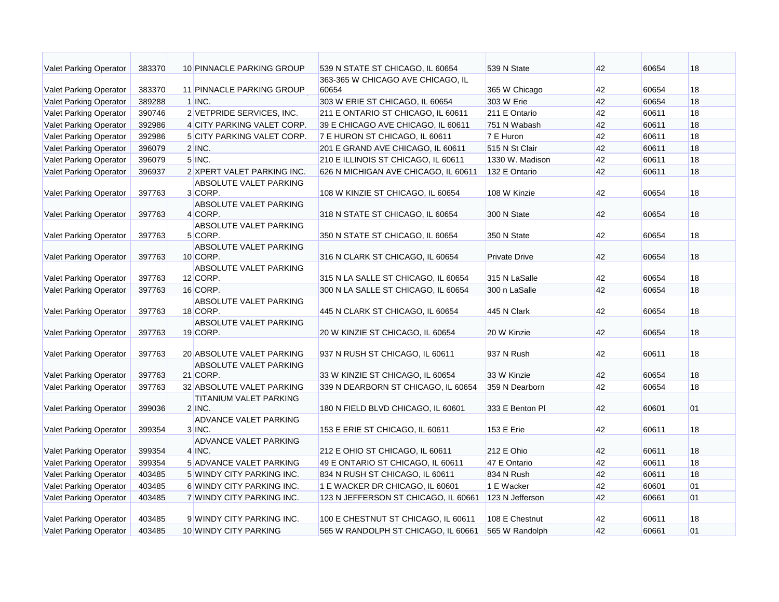| <b>Valet Parking Operator</b> | 383370 | 10 PINNACLE PARKING GROUP                 | 539 N STATE ST CHICAGO, IL 60654     | 539 N State          | 42 | 60654 | 18 |
|-------------------------------|--------|-------------------------------------------|--------------------------------------|----------------------|----|-------|----|
|                               |        |                                           | 363-365 W CHICAGO AVE CHICAGO, IL    |                      |    |       |    |
| <b>Valet Parking Operator</b> | 383370 | 11 PINNACLE PARKING GROUP                 | 60654                                | 365 W Chicago        | 42 | 60654 | 18 |
| <b>Valet Parking Operator</b> | 389288 | $1$ INC.                                  | 303 W ERIE ST CHICAGO, IL 60654      | 303 W Erie           | 42 | 60654 | 18 |
| <b>Valet Parking Operator</b> | 390746 | 2 VETPRIDE SERVICES, INC.                 | 211 E ONTARIO ST CHICAGO, IL 60611   | 211 E Ontario        | 42 | 60611 | 18 |
| <b>Valet Parking Operator</b> | 392986 | 4 CITY PARKING VALET CORP.                | 39 E CHICAGO AVE CHICAGO, IL 60611   | 751 N Wabash         | 42 | 60611 | 18 |
| <b>Valet Parking Operator</b> | 392986 | 5 CITY PARKING VALET CORP.                | 7 E HURON ST CHICAGO, IL 60611       | 7 E Huron            | 42 | 60611 | 18 |
| Valet Parking Operator        | 396079 | $2$ INC.                                  | 201 E GRAND AVE CHICAGO, IL 60611    | 515 N St Clair       | 42 | 60611 | 18 |
| <b>Valet Parking Operator</b> | 396079 | $5$ INC.                                  | 210 E ILLINOIS ST CHICAGO, IL 60611  | 1330 W. Madison      | 42 | 60611 | 18 |
| <b>Valet Parking Operator</b> | 396937 | 2 XPERT VALET PARKING INC.                | 626 N MICHIGAN AVE CHICAGO, IL 60611 | 132 E Ontario        | 42 | 60611 | 18 |
| <b>Valet Parking Operator</b> | 397763 | ABSOLUTE VALET PARKING<br>3 CORP.         | 108 W KINZIE ST CHICAGO, IL 60654    | 108 W Kinzie         | 42 | 60654 | 18 |
| <b>Valet Parking Operator</b> | 397763 | ABSOLUTE VALET PARKING<br>4 CORP.         | 318 N STATE ST CHICAGO, IL 60654     | 300 N State          | 42 | 60654 | 18 |
| <b>Valet Parking Operator</b> | 397763 | ABSOLUTE VALET PARKING<br>5 CORP.         | 350 N STATE ST CHICAGO, IL 60654     | 350 N State          | 42 | 60654 | 18 |
| Valet Parking Operator        | 397763 | <b>ABSOLUTE VALET PARKING</b><br>10 CORP. | 316 N CLARK ST CHICAGO, IL 60654     | <b>Private Drive</b> | 42 | 60654 | 18 |
|                               |        | <b>ABSOLUTE VALET PARKING</b>             |                                      |                      |    |       |    |
| <b>Valet Parking Operator</b> | 397763 | 12 CORP.                                  | 315 N LA SALLE ST CHICAGO, IL 60654  | 315 N LaSalle        | 42 | 60654 | 18 |
| Valet Parking Operator        | 397763 | 16 CORP.                                  | 300 N LA SALLE ST CHICAGO, IL 60654  | 300 n LaSalle        | 42 | 60654 | 18 |
| <b>Valet Parking Operator</b> | 397763 | <b>ABSOLUTE VALET PARKING</b><br>18 CORP. | 445 N CLARK ST CHICAGO, IL 60654     | 445 N Clark          | 42 | 60654 | 18 |
| <b>Valet Parking Operator</b> | 397763 | <b>ABSOLUTE VALET PARKING</b><br>19 CORP. | 20 W KINZIE ST CHICAGO, IL 60654     | 20 W Kinzie          | 42 | 60654 | 18 |
| <b>Valet Parking Operator</b> | 397763 | 20 ABSOLUTE VALET PARKING                 | 937 N RUSH ST CHICAGO, IL 60611      | 937 N Rush           | 42 | 60611 | 18 |
| <b>Valet Parking Operator</b> | 397763 | ABSOLUTE VALET PARKING<br>21 CORP.        | 33 W KINZIE ST CHICAGO, IL 60654     | 33 W Kinzie          | 42 | 60654 | 18 |
| <b>Valet Parking Operator</b> | 397763 | 32 ABSOLUTE VALET PARKING                 | 339 N DEARBORN ST CHICAGO, IL 60654  | 359 N Dearborn       | 42 | 60654 | 18 |
| <b>Valet Parking Operator</b> | 399036 | <b>TITANIUM VALET PARKING</b><br>$2$ INC. | 180 N FIELD BLVD CHICAGO, IL 60601   | 333 E Benton PI      | 42 | 60601 | 01 |
| <b>Valet Parking Operator</b> | 399354 | ADVANCE VALET PARKING<br>$3$ INC.         | 153 E ERIE ST CHICAGO, IL 60611      | 153 E Erie           | 42 | 60611 | 18 |
| <b>Valet Parking Operator</b> | 399354 | <b>ADVANCE VALET PARKING</b><br>$4$ INC.  | 212 E OHIO ST CHICAGO, IL 60611      | 212 E Ohio           | 42 | 60611 | 18 |
| <b>Valet Parking Operator</b> | 399354 | 5 ADVANCE VALET PARKING                   | 49 E ONTARIO ST CHICAGO, IL 60611    | 47 E Ontario         | 42 | 60611 | 18 |
| <b>Valet Parking Operator</b> | 403485 | 5 WINDY CITY PARKING INC.                 | 834 N RUSH ST CHICAGO, IL 60611      | 834 N Rush           | 42 | 60611 | 18 |
| Valet Parking Operator        | 403485 | 6 WINDY CITY PARKING INC.                 | 1 E WACKER DR CHICAGO, IL 60601      | 1 E Wacker           | 42 | 60601 | 01 |
| <b>Valet Parking Operator</b> | 403485 | 7 WINDY CITY PARKING INC.                 | 123 N JEFFERSON ST CHICAGO, IL 60661 | 123 N Jefferson      | 42 | 60661 | 01 |
| <b>Valet Parking Operator</b> | 403485 | 9 WINDY CITY PARKING INC.                 | 100 E CHESTNUT ST CHICAGO, IL 60611  | 108 E Chestnut       | 42 | 60611 | 18 |
| <b>Valet Parking Operator</b> | 403485 | 10 WINDY CITY PARKING                     | 565 W RANDOLPH ST CHICAGO, IL 60661  | 565 W Randolph       | 42 | 60661 | 01 |
|                               |        |                                           |                                      |                      |    |       |    |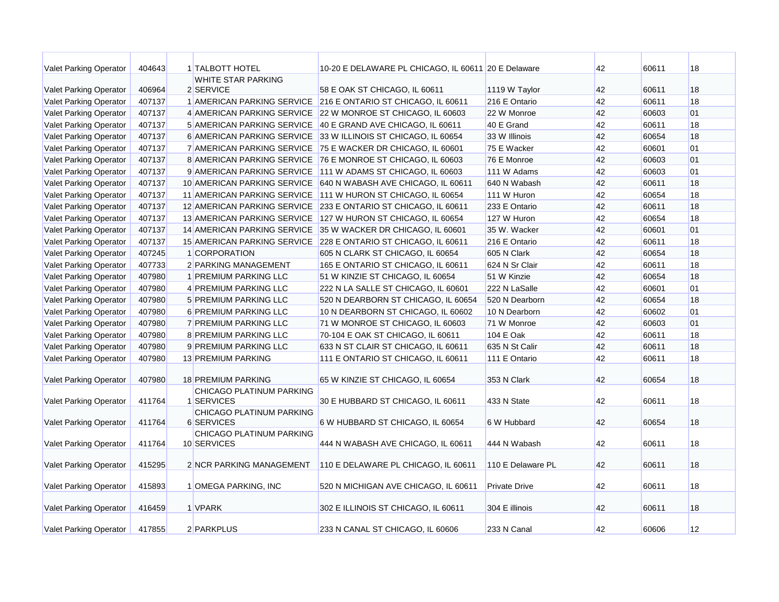| <b>Valet Parking Operator</b> | 404643 | 1 TALBOTT HOTEL                         | 10-20 E DELAWARE PL CHICAGO, IL 60611 20 E Delaware |                      | 42 | 60611 | 18 |
|-------------------------------|--------|-----------------------------------------|-----------------------------------------------------|----------------------|----|-------|----|
|                               |        | <b>WHITE STAR PARKING</b>               |                                                     |                      |    |       |    |
| Valet Parking Operator        | 406964 | 2 SERVICE                               | 58 E OAK ST CHICAGO, IL 60611                       | 1119 W Taylor        | 42 | 60611 | 18 |
| Valet Parking Operator        | 407137 | 1 AMERICAN PARKING SERVICE              | 216 E ONTARIO ST CHICAGO, IL 60611                  | 216 E Ontario        | 42 | 60611 | 18 |
| Valet Parking Operator        | 407137 | 4 AMERICAN PARKING SERVICE              | 22 W MONROE ST CHICAGO, IL 60603                    | 22 W Monroe          | 42 | 60603 | 01 |
| Valet Parking Operator        | 407137 | 5 AMERICAN PARKING SERVICE              | 40 E GRAND AVE CHICAGO, IL 60611                    | 40 E Grand           | 42 | 60611 | 18 |
| Valet Parking Operator        | 407137 | <b>6 AMERICAN PARKING SERVICE</b>       | 33 W ILLINOIS ST CHICAGO, IL 60654                  | 33 W Illinois        | 42 | 60654 | 18 |
| <b>Valet Parking Operator</b> | 407137 | 7 AMERICAN PARKING SERVICE              | 75 E WACKER DR CHICAGO, IL 60601                    | 75 E Wacker          | 42 | 60601 | 01 |
| <b>Valet Parking Operator</b> | 407137 | 8 AMERICAN PARKING SERVICE              | 76 E MONROE ST CHICAGO, IL 60603                    | 76 E Monroe          | 42 | 60603 | 01 |
| <b>Valet Parking Operator</b> | 407137 | 9 AMERICAN PARKING SERVICE              | 111 W ADAMS ST CHICAGO, IL 60603                    | 111 W Adams          | 42 | 60603 | 01 |
| <b>Valet Parking Operator</b> | 407137 | 10 AMERICAN PARKING SERVICE             | 640 N WABASH AVE CHICAGO, IL 60611                  | 640 N Wabash         | 42 | 60611 | 18 |
| Valet Parking Operator        | 407137 | 11 AMERICAN PARKING SERVICE             | 111 W HURON ST CHICAGO, IL 60654                    | 111 W Huron          | 42 | 60654 | 18 |
| <b>Valet Parking Operator</b> | 407137 | 12 AMERICAN PARKING SERVICE             | 233 E ONTARIO ST CHICAGO, IL 60611                  | 233 E Ontario        | 42 | 60611 | 18 |
| <b>Valet Parking Operator</b> | 407137 | 13 AMERICAN PARKING SERVICE             | 127 W HURON ST CHICAGO, IL 60654                    | 127 W Huron          | 42 | 60654 | 18 |
| Valet Parking Operator        | 407137 | 14 AMERICAN PARKING SERVICE             | 35 W WACKER DR CHICAGO, IL 60601                    | 35 W. Wacker         | 42 | 60601 | 01 |
| <b>Valet Parking Operator</b> | 407137 | <b>15 AMERICAN PARKING SERVICE</b>      | 228 E ONTARIO ST CHICAGO, IL 60611                  | 216 E Ontario        | 42 | 60611 | 18 |
| Valet Parking Operator        | 407245 | 1 CORPORATION                           | 605 N CLARK ST CHICAGO, IL 60654                    | 605 N Clark          | 42 | 60654 | 18 |
| Valet Parking Operator        | 407733 | 2 PARKING MANAGEMENT                    | 165 E ONTARIO ST CHICAGO, IL 60611                  | 624 N Sr Clair       | 42 | 60611 | 18 |
| Valet Parking Operator        | 407980 | 1 PREMIUM PARKING LLC                   | 51 W KINZIE ST CHICAGO, IL 60654                    | 51 W Kinzie          | 42 | 60654 | 18 |
| <b>Valet Parking Operator</b> | 407980 | 4 PREMIUM PARKING LLC                   | 222 N LA SALLE ST CHICAGO, IL 60601                 | 222 N LaSalle        | 42 | 60601 | 01 |
| <b>Valet Parking Operator</b> | 407980 | 5 PREMIUM PARKING LLC                   | 520 N DEARBORN ST CHICAGO, IL 60654                 | 520 N Dearborn       | 42 | 60654 | 18 |
| <b>Valet Parking Operator</b> | 407980 | 6 PREMIUM PARKING LLC                   | 10 N DEARBORN ST CHICAGO, IL 60602                  | 10 N Dearborn        | 42 | 60602 | 01 |
| Valet Parking Operator        | 407980 | 7 PREMIUM PARKING LLC                   | 71 W MONROE ST CHICAGO, IL 60603                    | 71 W Monroe          | 42 | 60603 | 01 |
| Valet Parking Operator        | 407980 | 8 PREMIUM PARKING LLC                   | 70-104 E OAK ST CHICAGO, IL 60611                   | 104 E Oak            | 42 | 60611 | 18 |
| <b>Valet Parking Operator</b> | 407980 | 9 PREMIUM PARKING LLC                   | 633 N ST CLAIR ST CHICAGO, IL 60611                 | 635 N St Calir       | 42 | 60611 | 18 |
| Valet Parking Operator        | 407980 | 13 PREMIUM PARKING                      | 111 E ONTARIO ST CHICAGO, IL 60611                  | 111 E Ontario        | 42 | 60611 | 18 |
|                               |        |                                         |                                                     |                      |    |       |    |
| <b>Valet Parking Operator</b> | 407980 | <b>18 PREMIUM PARKING</b>               | 65 W KINZIE ST CHICAGO, IL 60654                    | 353 N Clark          | 42 | 60654 | 18 |
|                               |        | <b>CHICAGO PLATINUM PARKING</b>         |                                                     |                      |    |       |    |
| <b>Valet Parking Operator</b> | 411764 | 1 SERVICES                              | 30 E HUBBARD ST CHICAGO, IL 60611                   | 433 N State          | 42 | 60611 | 18 |
|                               |        | <b>CHICAGO PLATINUM PARKING</b>         |                                                     |                      |    |       |    |
| <b>Valet Parking Operator</b> | 411764 | 6 SERVICES                              | 6 W HUBBARD ST CHICAGO, IL 60654                    | 6 W Hubbard          | 42 | 60654 | 18 |
| <b>Valet Parking Operator</b> | 411764 | CHICAGO PLATINUM PARKING<br>10 SERVICES | 444 N WABASH AVE CHICAGO, IL 60611                  | 444 N Wabash         | 42 | 60611 | 18 |
|                               |        |                                         |                                                     |                      |    |       |    |
| <b>Valet Parking Operator</b> | 415295 | 2 NCR PARKING MANAGEMENT                | 110 E DELAWARE PL CHICAGO, IL 60611                 | 110 E Delaware PL    | 42 | 60611 | 18 |
|                               |        |                                         |                                                     |                      |    |       |    |
| <b>Valet Parking Operator</b> | 415893 | 1 OMEGA PARKING, INC                    | 520 N MICHIGAN AVE CHICAGO, IL 60611                | <b>Private Drive</b> | 42 | 60611 | 18 |
|                               |        |                                         |                                                     |                      |    |       |    |
| <b>Valet Parking Operator</b> | 416459 | 1 VPARK                                 | 302 E ILLINOIS ST CHICAGO, IL 60611                 | 304 E illinois       | 42 | 60611 | 18 |
|                               |        |                                         |                                                     |                      |    |       |    |
| Valet Parking Operator        | 417855 | 2 PARKPLUS                              | 233 N CANAL ST CHICAGO, IL 60606                    | 233 N Canal          | 42 | 60606 | 12 |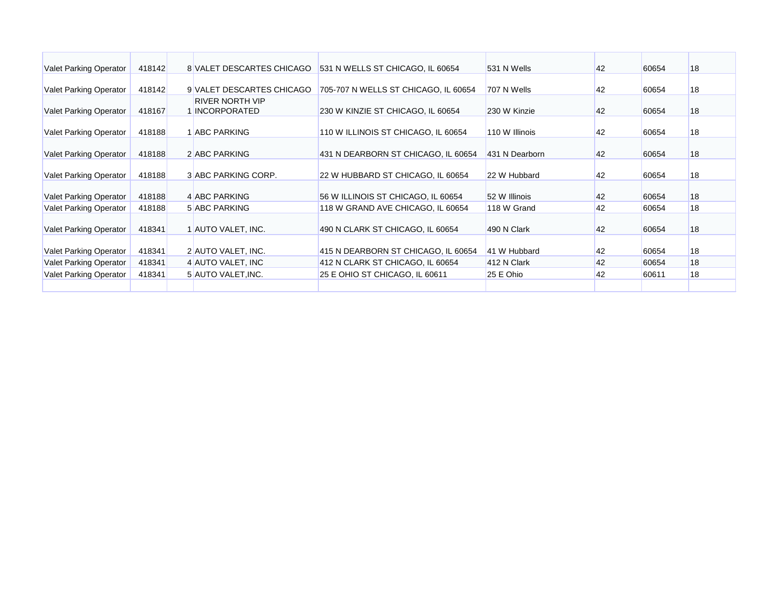| <b>Valet Parking Operator</b> | 418142 | 8 VALET DESCARTES CHICAGO                     | 531 N WELLS ST CHICAGO, IL 60654     | 531 N Wells    | 42 | 60654 | 18 |
|-------------------------------|--------|-----------------------------------------------|--------------------------------------|----------------|----|-------|----|
| <b>Valet Parking Operator</b> | 418142 | 9 VALET DESCARTES CHICAGO                     | 705-707 N WELLS ST CHICAGO, IL 60654 | 707 N Wells    | 42 | 60654 | 18 |
| <b>Valet Parking Operator</b> | 418167 | <b>RIVER NORTH VIP</b><br><b>INCORPORATED</b> | 230 W KINZIE ST CHICAGO, IL 60654    | 230 W Kinzie   | 42 | 60654 | 18 |
| <b>Valet Parking Operator</b> | 418188 | <b>ABC PARKING</b>                            | 110 W ILLINOIS ST CHICAGO, IL 60654  | 110 W Illinois | 42 | 60654 | 18 |
| <b>Valet Parking Operator</b> | 418188 | 2 ABC PARKING                                 | 431 N DEARBORN ST CHICAGO, IL 60654  | 431 N Dearborn | 42 | 60654 | 18 |
| <b>Valet Parking Operator</b> | 418188 | 3 ABC PARKING CORP.                           | 22 W HUBBARD ST CHICAGO, IL 60654    | 22 W Hubbard   | 42 | 60654 | 18 |
| <b>Valet Parking Operator</b> | 418188 | 4 ABC PARKING                                 | 56 W ILLINOIS ST CHICAGO, IL 60654   | 52 W Illinois  | 42 | 60654 | 18 |
| <b>Valet Parking Operator</b> | 418188 | 5 ABC PARKING                                 | 118 W GRAND AVE CHICAGO, IL 60654    | 118 W Grand    | 42 | 60654 | 18 |
| <b>Valet Parking Operator</b> | 418341 | 1 AUTO VALET, INC.                            | 490 N CLARK ST CHICAGO, IL 60654     | 490 N Clark    | 42 | 60654 | 18 |
| <b>Valet Parking Operator</b> | 418341 | 2 AUTO VALET, INC.                            | 415 N DEARBORN ST CHICAGO, IL 60654  | 41 W Hubbard   | 42 | 60654 | 18 |
| <b>Valet Parking Operator</b> | 418341 | 4 AUTO VALET, INC                             | 412 N CLARK ST CHICAGO, IL 60654     | 412 N Clark    | 42 | 60654 | 18 |
| <b>Valet Parking Operator</b> | 418341 | 5 AUTO VALET, INC.                            | 25 E OHIO ST CHICAGO, IL 60611       | 25 E Ohio      | 42 | 60611 | 18 |
|                               |        |                                               |                                      |                |    |       |    |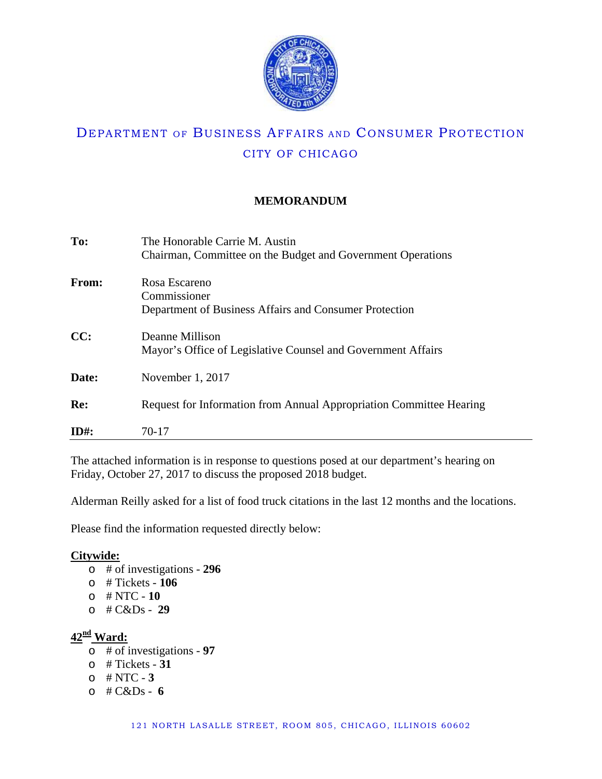

## **MEMORANDUM**

| To:     | The Honorable Carrie M. Austin<br>Chairman, Committee on the Budget and Government Operations |
|---------|-----------------------------------------------------------------------------------------------|
| From:   | Rosa Escareno<br>Commissioner                                                                 |
|         | Department of Business Affairs and Consumer Protection                                        |
| CC:     | Deanne Millison                                                                               |
|         | Mayor's Office of Legislative Counsel and Government Affairs                                  |
| Date:   | November 1, 2017                                                                              |
| Re:     | Request for Information from Annual Appropriation Committee Hearing                           |
| $ID#$ : | 70-17                                                                                         |

The attached information is in response to questions posed at our department's hearing on Friday, October 27, 2017 to discuss the proposed 2018 budget.

Alderman Reilly asked for a list of food truck citations in the last 12 months and the locations.

Please find the information requested directly below:

### **Citywide:**

- o # of investigations **296**
- o # Tickets **106**
- o # NTC **10**
- o # C&Ds **29**

## **42nd Ward:**

- o # of investigations **97**
- o # Tickets **31**
- o # NTC **3**
- o # C&Ds **6**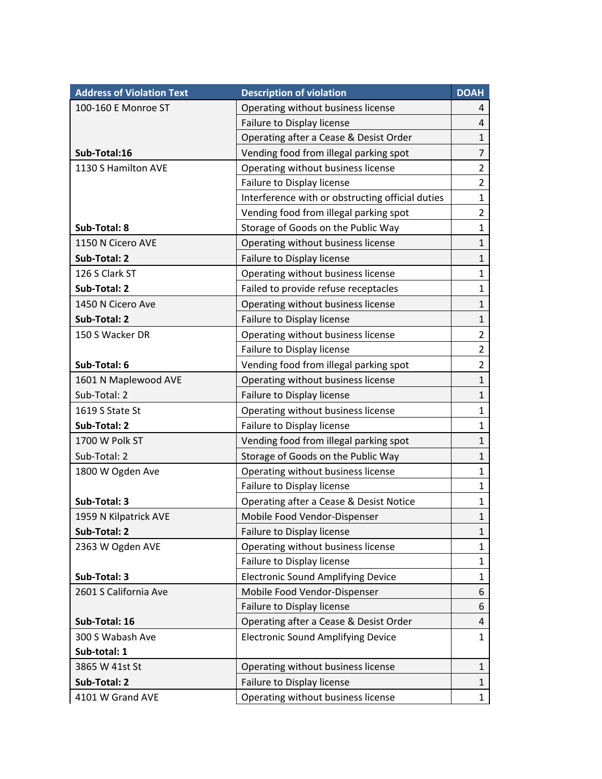| <b>Address of Violation Text</b> | <b>Description of violation</b>                  | <b>DOAH</b>    |
|----------------------------------|--------------------------------------------------|----------------|
| 100-160 E Monroe ST              | Operating without business license               | 4              |
|                                  | Failure to Display license                       | 4              |
|                                  | Operating after a Cease & Desist Order           | $\mathbf{1}$   |
| Sub-Total:16                     | Vending food from illegal parking spot           | $\overline{7}$ |
| 1130 S Hamilton AVE              | Operating without business license               | $\overline{2}$ |
|                                  | Failure to Display license                       | $\overline{2}$ |
|                                  | Interference with or obstructing official duties | $\mathbf{1}$   |
|                                  | Vending food from illegal parking spot           | $\overline{2}$ |
| Sub-Total: 8                     | Storage of Goods on the Public Way               | $\mathbf{1}$   |
| 1150 N Cicero AVE                | Operating without business license               | $\mathbf{1}$   |
| Sub-Total: 2                     | Failure to Display license                       | $\mathbf{1}$   |
| 126 S Clark ST                   | Operating without business license               | $\mathbf{1}$   |
| Sub-Total: 2                     | Failed to provide refuse receptacles             | $\mathbf{1}$   |
| 1450 N Cicero Ave                | Operating without business license               | $\mathbf{1}$   |
| Sub-Total: 2                     | Failure to Display license                       | $\mathbf{1}$   |
| 150 S Wacker DR                  | Operating without business license               | $\overline{2}$ |
|                                  | Failure to Display license                       | $\overline{2}$ |
| Sub-Total: 6                     | Vending food from illegal parking spot           | $\overline{2}$ |
| 1601 N Maplewood AVE             | Operating without business license               | $\mathbf{1}$   |
| Sub-Total: 2                     | Failure to Display license                       | $\mathbf{1}$   |
| 1619 S State St                  | Operating without business license               | $\mathbf{1}$   |
| Sub-Total: 2                     | Failure to Display license                       | $\mathbf{1}$   |
| 1700 W Polk ST                   | Vending food from illegal parking spot           | $\mathbf{1}$   |
| Sub-Total: 2                     | Storage of Goods on the Public Way               | $\mathbf{1}$   |
| 1800 W Ogden Ave                 | Operating without business license               | $\mathbf{1}$   |
|                                  | Failure to Display license                       | $\mathbf{1}$   |
| Sub-Total: 3                     | Operating after a Cease & Desist Notice          | $\mathbf{1}$   |
| 1959 N Kilpatrick AVE            | Mobile Food Vendor-Dispenser                     | $\mathbf{1}$   |
| Sub-Total: 2                     | Failure to Display license                       | $\mathbf{1}$   |
| 2363 W Ogden AVE                 | Operating without business license               | $\mathbf{1}$   |
|                                  | Failure to Display license                       | $\mathbf{1}$   |
| Sub-Total: 3                     | <b>Electronic Sound Amplifying Device</b>        | $\mathbf{1}$   |
| 2601 S California Ave            | Mobile Food Vendor-Dispenser                     | 6              |
|                                  | Failure to Display license                       | 6              |
| Sub-Total: 16                    | Operating after a Cease & Desist Order           | 4              |
| 300 S Wabash Ave                 | <b>Electronic Sound Amplifying Device</b>        | $\mathbf{1}$   |
| Sub-total: 1                     |                                                  |                |
| 3865 W 41st St                   | Operating without business license               | $\mathbf{1}$   |
| Sub-Total: 2                     | Failure to Display license                       | 1              |
| 4101 W Grand AVE                 | Operating without business license               | $\mathbf{1}$   |